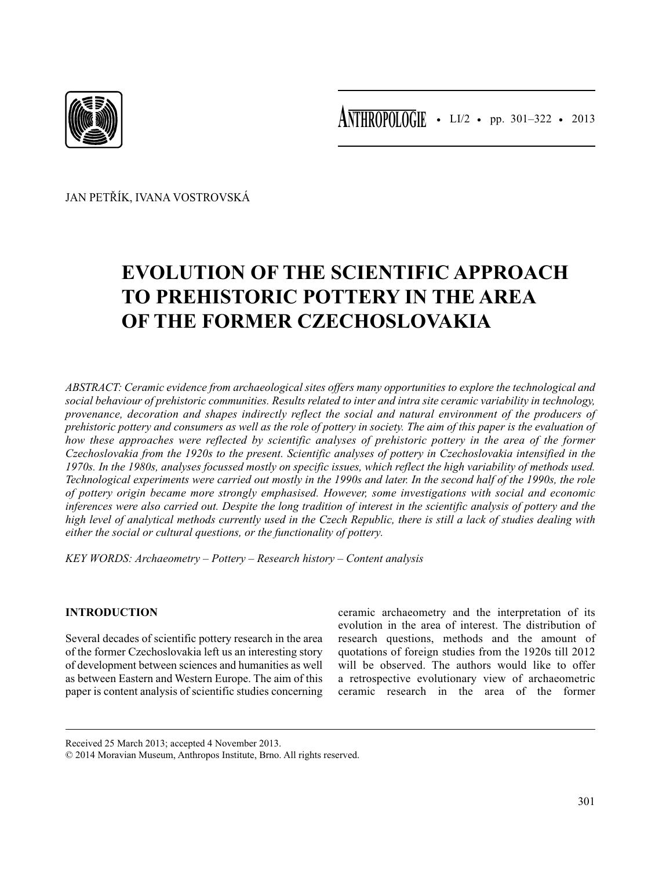

• LI/2 • pp. 301–322 • 2013 **ANTHROPOLOGIE**

JAN PETŘÍK, IVANA VOSTROVSKÁ

# **EVOLUTION OF THE SCIENTIFIC APPROACH TO PREHISTORIC POTTERY IN THE AREA OF THE FORMER CZECHOSLOVAKIA**

*ABSTRACT: Ceramic evidence from archaeological sites offers many opportunities to explore the technological and social behaviour of prehistoric communities. Results related to inter and intra site ceramic variability in technology, provenance, decoration and shapes indirectly reflect the social and natural environment of the producers of prehistoric pottery and consumers as well as the role of pottery in society. The aim of this paper is the evaluation of how these approaches were reflected by scientific analyses of prehistoric pottery in the area of the former Czechoslovakia from the 1920s to the present. Scientific analyses of pottery in Czechoslovakia intensified in the 1970s. In the 1980s, analyses focussed mostly on specific issues, which reflect the high variability of methods used. Technological experiments were carried out mostly in the 1990s and later. In the second half of the 1990s, the role of pottery origin became more strongly emphasised. However, some investigations with social and economic inferences were also carried out. Despite the long tradition of interest in the scientific analysis of pottery and the high level of analytical methods currently used in the Czech Republic, there is still a lack of studies dealing with either the social or cultural questions, or the functionality of pottery.*

*KEY WORDS: Archaeometry – Pottery – Research history – Content analysis*

# **INTRODUCTION**

Several decades of scientific pottery research in the area of the former Czechoslovakia left us an interesting story of development between sciences and humanities as well as between Eastern and Western Europe. The aim of this paper is content analysis of scientific studies concerning ceramic archaeometry and the interpretation of its evolution in the area of interest. The distribution of research questions, methods and the amount of quotations of foreign studies from the 1920s till 2012 will be observed. The authors would like to offer a retrospective evolutionary view of archaeometric ceramic research in the area of the former

Received 25 March 2013; accepted 4 November 2013.

© 2014 Moravian Museum, Anthropos Institute, Brno. All rights reserved.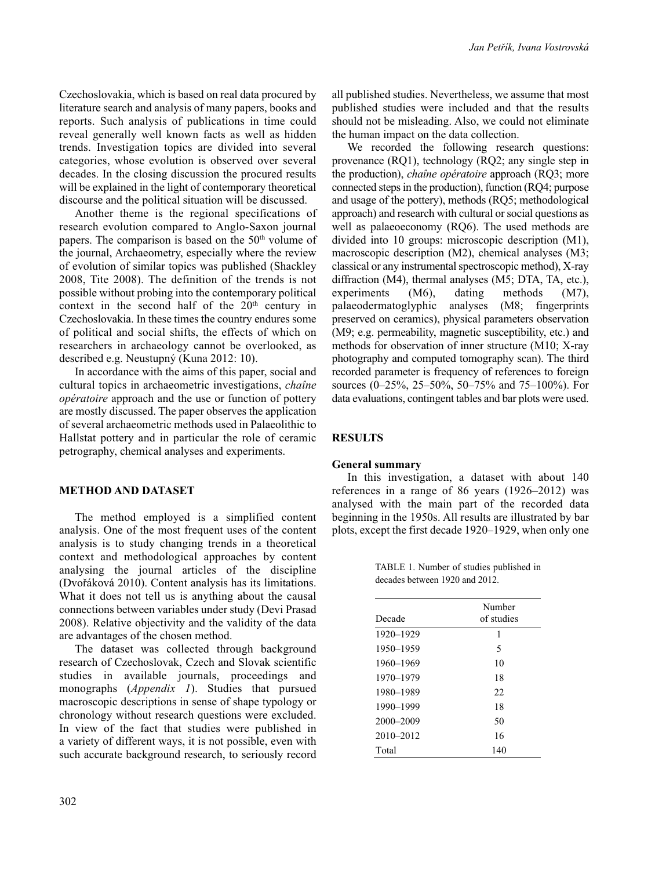Czechoslovakia, which is based on real data procured by literature search and analysis of many papers, books and reports. Such analysis of publications in time could reveal generally well known facts as well as hidden trends. Investigation topics are divided into several categories, whose evolution is observed over several decades. In the closing discussion the procured results will be explained in the light of contemporary theoretical discourse and the political situation will be discussed.

Another theme is the regional specifications of research evolution compared to Anglo-Saxon journal papers. The comparison is based on the  $50<sup>th</sup>$  volume of the journal, Archaeometry, especially where the review of evolution of similar topics was published (Shackley 2008, Tite 2008). The definition of the trends is not possible without probing into the contemporary political context in the second half of the  $20<sup>th</sup>$  century in Czechoslovakia. In these times the country endures some of political and social shifts, the effects of which on researchers in archaeology cannot be overlooked, as described e.g. Neustupný (Kuna 2012: 10).

In accordance with the aims of this paper, social and cultural topics in archaeometric investigations, *chaîne opératoire* approach and the use or function of pottery are mostly discussed. The paper observes the application of several archaeometric methods used in Palaeolithic to Hallstat pottery and in particular the role of ceramic petrography, chemical analyses and experiments.

## **METHOD AND DATASET**

The method employed is a simplified content analysis. One of the most frequent uses of the content analysis is to study changing trends in a theoretical context and methodological approaches by content analysing the journal articles of the discipline (Dvořáková 2010). Content analysis has its limitations. What it does not tell us is anything about the causal connections between variables under study (Devi Prasad 2008). Relative objectivity and the validity of the data are advantages of the chosen method.

The dataset was collected through background research of Czechoslovak, Czech and Slovak scientific studies in available journals, proceedings and monographs (*Appendix 1*). Studies that pursued macroscopic descriptions in sense of shape typology or chronology without research questions were excluded. In view of the fact that studies were published in a variety of different ways, it is not possible, even with such accurate background research, to seriously record

all published studies. Nevertheless, we assume that most published studies were included and that the results should not be misleading. Also, we could not eliminate the human impact on the data collection.

We recorded the following research questions: provenance (RQ1), technology (RQ2; any single step in the production), *chaîne opératoire* approach (RQ3; more connected steps in the production), function (RQ4; purpose and usage of the pottery), methods (RQ5; methodological approach) and research with cultural or social questions as well as palaeoeconomy (RQ6). The used methods are divided into 10 groups: microscopic description (M1), macroscopic description (M2), chemical analyses (M3; classical or any instrumental spectroscopic method), X-ray diffraction (M4), thermal analyses (M5; DTA, TA, etc.), experiments (M6), dating methods (M7), palaeodermatoglyphic analyses (M8; fingerprints preserved on ceramics), physical parameters observation (M9; e.g. permeability, magnetic susceptibility, etc.) and methods for observation of inner structure (M10; X-ray photography and computed tomography scan). The third recorded parameter is frequency of references to foreign sources (0–25%, 25–50%, 50–75% and 75–100%). For data evaluations, contingent tables and bar plots were used.

## **RESULTS**

### **General summary**

In this investigation, a dataset with about 140 references in a range of 86 years (1926–2012) was analysed with the main part of the recorded data beginning in the 1950s. All results are illustrated by bar plots, except the first decade 1920–1929, when only one

TABLE 1. Number of studies published in decades between 1920 and 2012.

| Decade        | Number<br>of studies |
|---------------|----------------------|
| 1920-1929     | 1                    |
| 1950-1959     | 5                    |
| 1960-1969     | 10                   |
| 1970-1979     | 18                   |
| 1980-1989     | 22                   |
| 1990-1999     | 18                   |
| 2000-2009     | 50                   |
| $2010 - 2012$ | 16                   |
| Total         | 140                  |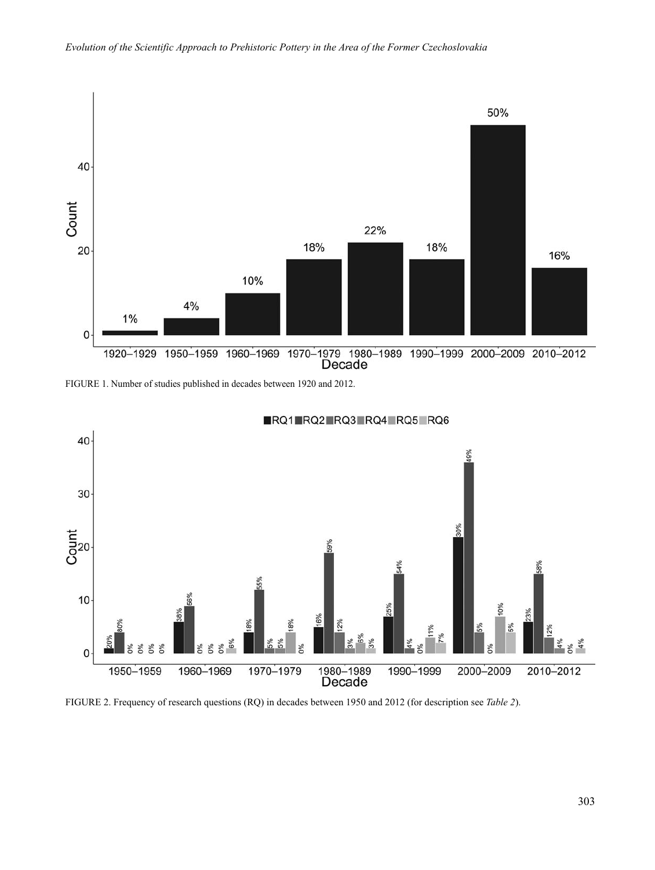

FIGURE 1. Number of studies published in decades between 1920 and 2012.



RQ1 RQ2 RQ3 RQ4 RQ5 RQ6

FIGURE 2. Frequency of research questions (RQ) in decades between 1950 and 2012 (for description see *Table 2*).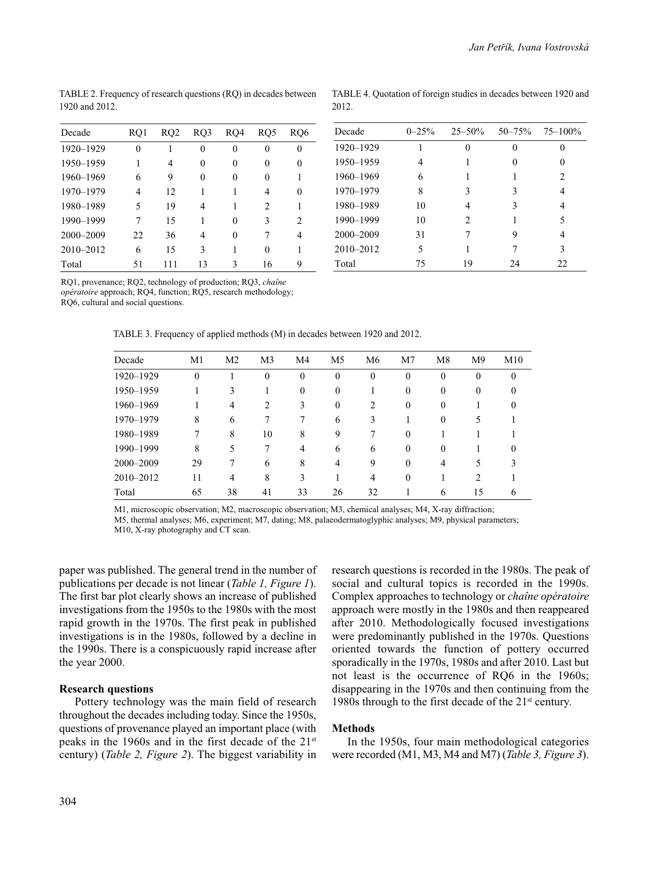| Decade    | RQ1 | RQ2 | RQ3 | RQ4 | RQ5                           | RO6            |
|-----------|-----|-----|-----|-----|-------------------------------|----------------|
| 1920-1929 | 0   |     | 0   | 0   | 0                             | 0              |
| 1950-1959 |     | 4   | 0   | 0   | 0                             | 0              |
| 1960-1969 | 6   | 9   | 0   | 0   | 0                             |                |
| 1970-1979 | 4   | 12  | 1   | 1   | 4                             | 0              |
| 1980-1989 | 5   | 19  | 4   |     | $\mathfrak{D}_{\mathfrak{p}}$ |                |
| 1990-1999 | 7   | 15  | 1   | 0   | 3                             | $\mathfrak{D}$ |
| 2000-2009 | 22  | 36  | 4   | 0   |                               | 4              |
| 2010-2012 | 6   | 15  | 3   | 1   | 0                             |                |
| Total     | 51  | 111 | 13  | 3   | 16                            | Q              |

TABLE 4. Quotation of foreign studies in decades between 1920 and 2012.

| Decade    | $0 - 25%$ | $25 - 50\%$    |              | $50 - 75\%$ $75 - 100\%$ |
|-----------|-----------|----------------|--------------|--------------------------|
| 1920-1929 |           | 0              | $\mathbf{0}$ | 0                        |
| 1950-1959 | 4         |                | $\mathbf{0}$ | 0                        |
| 1960-1969 | 6         |                |              | $\mathfrak{D}$           |
| 1970-1979 | 8         | 3              | 3            | 4                        |
| 1980-1989 | 10        | 4              | 3            | 4                        |
| 1990-1999 | 10        | $\mathfrak{D}$ |              | 5                        |
| 2000-2009 | 31        | 7              | 9            | 4                        |
| 2010-2012 | 5         |                | 7            | 3                        |
| Total     | 75        | 19             | 24           | 22                       |

TABLE 2. Frequency of research questions (RQ) in decades between 1920 and 2012.

RQ1, provenance; RQ2, technology of production; RQ3, *chaîne* 

*opératoire* approach; RQ4, function; RQ5, research methodology;

RQ6, cultural and social questions.

TABLE 3. Frequency of applied methods (M) in decades between 1920 and 2012.

| Decade    | M1       | M <sub>2</sub> | M <sub>3</sub> | M4             | M <sub>5</sub> | M <sub>6</sub> | M <sub>7</sub> | M <sub>8</sub> | M <sup>9</sup>                | M10          |
|-----------|----------|----------------|----------------|----------------|----------------|----------------|----------------|----------------|-------------------------------|--------------|
| 1920-1929 | $\theta$ |                | $\theta$       | $\theta$       | $\mathbf{0}$   | $\mathbf{0}$   | $\theta$       | $\theta$       | $\theta$                      | $\mathbf{0}$ |
| 1950-1959 |          | 3              |                | $\Omega$       | $\bf{0}$       |                | $\Omega$       | $\Omega$       | $\Omega$                      | 0            |
| 1960-1969 |          | 4              | 2              | 3              | $\theta$       | 2              | $\Omega$       | $\theta$       |                               | $\theta$     |
| 1970-1979 | 8        | 6              |                | 7              | 6              | 3              |                | $\Omega$       | 5                             |              |
| 1980-1989 | 7        | 8              | 10             | 8              | 9              | 7              | $\Omega$       |                |                               |              |
| 1990-1999 | 8        | 5              |                | $\overline{4}$ | 6              | 6              | $\theta$       | $\theta$       |                               | $\theta$     |
| 2000-2009 | 29       |                | 6              | 8              | 4              | 9              | $\Omega$       | 4              | 5                             | 3            |
| 2010-2012 | 11       | 4              | 8              | 3              |                | 4              | $\Omega$       |                | $\mathfrak{D}_{\mathfrak{p}}$ |              |
| Total     | 65       | 38             | 41             | 33             | 26             | 32             |                | 6              | 15                            | 6            |

M1, microscopic observation; M2, macroscopic observation; M3, chemical analyses; M4, X-ray diffraction;

M5, thermal analyses; M6, experiment; M7, dating; M8, palaeodermatoglyphic analyses; M9, physical parameters; M10, X-ray photography and CT scan.

paper was published. The general trend in the number of publications per decade is not linear (*Table 1, Figure 1*). The first bar plot clearly shows an increase of published investigations from the 1950s to the 1980s with the most rapid growth in the 1970s. The first peak in published investigations is in the 1980s, followed by a decline in the 1990s. There is a conspicuously rapid increase after the year 2000.

### **Research questions**

Pottery technology was the main field of research throughout the decades including today. Since the 1950s, questions of provenance played an important place (with peaks in the 1960s and in the first decade of the 21st century) (*Table 2, Figure 2*). The biggest variability in research questions is recorded in the 1980s. The peak of social and cultural topics is recorded in the 1990s. Complex approaches to technology or *chaîne opératoire* approach were mostly in the 1980s and then reappeared after 2010. Methodologically focused investigations were predominantly published in the 1970s. Questions oriented towards the function of pottery occurred sporadically in the 1970s, 1980s and after 2010. Last but not least is the occurrence of RQ6 in the 1960s; disappearing in the 1970s and then continuing from the 1980s through to the first decade of the 21<sup>st</sup> century.

## **Methods**

In the 1950s, four main methodological categories were recorded (M1, M3, M4 and M7) (*Table 3, Figure 3*).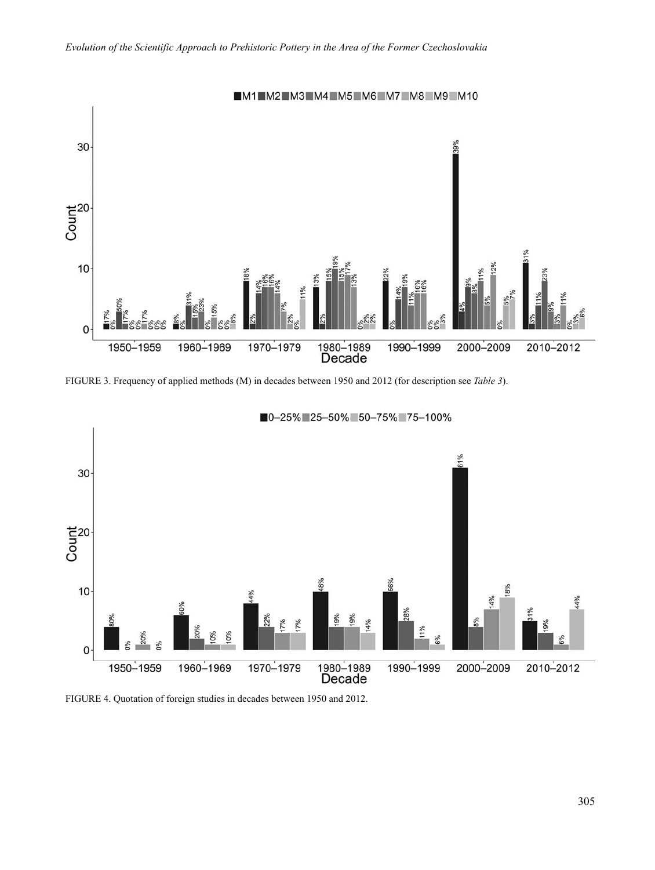

FIGURE 3. Frequency of applied methods (M) in decades between 1950 and 2012 (for description see *Table 3*).



■0-25% 25-50% 50-75% 75-100%

FIGURE 4. Quotation of foreign studies in decades between 1950 and 2012.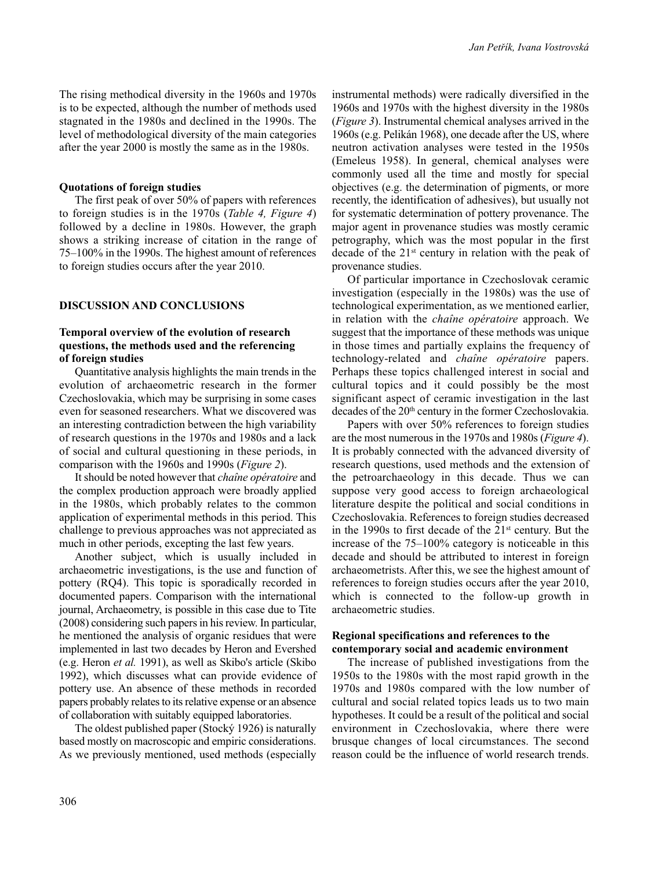The rising methodical diversity in the 1960s and 1970s is to be expected, although the number of methods used stagnated in the 1980s and declined in the 1990s. The level of methodological diversity of the main categories after the year 2000 is mostly the same as in the 1980s.

#### **Quotations of foreign studies**

The first peak of over 50% of papers with references to foreign studies is in the 1970s (*Table 4, Figure 4*) followed by a decline in 1980s. However, the graph shows a striking increase of citation in the range of 75–100% in the 1990s. The highest amount of references to foreign studies occurs after the year 2010.

## **DISCUSSION AND CONCLUSIONS**

## **Temporal overview of the evolution of research questions, the methods used and the referencing of foreign studies**

Quantitative analysis highlights the main trends in the evolution of archaeometric research in the former Czechoslovakia, which may be surprising in some cases even for seasoned researchers. What we discovered was an interesting contradiction between the high variability of research questions in the 1970s and 1980s and a lack of social and cultural questioning in these periods, in comparison with the 1960s and 1990s (*Figure 2*).

It should be noted however that *chaîne opératoire* and the complex production approach were broadly applied in the 1980s, which probably relates to the common application of experimental methods in this period. This challenge to previous approaches was not appreciated as much in other periods, excepting the last few years.

Another subject, which is usually included in archaeometric investigations, is the use and function of pottery (RQ4). This topic is sporadically recorded in documented papers. Comparison with the international journal, Archaeometry, is possible in this case due to Tite (2008) considering such papers in his review. In particular, he mentioned the analysis of organic residues that were implemented in last two decades by Heron and Evershed (e.g. Heron *et al.* 1991), as well as Skibo's article (Skibo 1992), which discusses what can provide evidence of pottery use. An absence of these methods in recorded papers probably relates to its relative expense or an absence of collaboration with suitably equipped laboratories.

The oldest published paper (Stocký 1926) is naturally based mostly on macroscopic and empiric considerations. As we previously mentioned, used methods (especially instrumental methods) were radically diversified in the 1960s and 1970s with the highest diversity in the 1980s (*Figure 3*). Instrumental chemical analyses arrived in the 1960s (e.g. Pelikán 1968), one decade after the US, where neutron activation analyses were tested in the 1950s (Emeleus 1958). In general, chemical analyses were commonly used all the time and mostly for special objectives (e.g. the determination of pigments, or more recently, the identification of adhesives), but usually not for systematic determination of pottery provenance. The major agent in provenance studies was mostly ceramic petrography, which was the most popular in the first decade of the  $21<sup>st</sup>$  century in relation with the peak of provenance studies.

Of particular importance in Czechoslovak ceramic investigation (especially in the 1980s) was the use of technological experimentation, as we mentioned earlier, in relation with the *chaîne opératoire* approach. We suggest that the importance of these methods was unique in those times and partially explains the frequency of technology-related and *chaîne opératoire* papers. Perhaps these topics challenged interest in social and cultural topics and it could possibly be the most significant aspect of ceramic investigation in the last decades of the 20<sup>th</sup> century in the former Czechoslovakia.

Papers with over 50% references to foreign studies are the most numerous in the 1970s and 1980s (*Figure 4*). It is probably connected with the advanced diversity of research questions, used methods and the extension of the petroarchaeology in this decade. Thus we can suppose very good access to foreign archaeological literature despite the political and social conditions in Czechoslovakia. References to foreign studies decreased in the 1990s to first decade of the  $21<sup>st</sup>$  century. But the increase of the 75–100% category is noticeable in this decade and should be attributed to interest in foreign archaeometrists. After this, we see the highest amount of references to foreign studies occurs after the year 2010, which is connected to the follow-up growth in archaeometric studies.

### **Regional specifications and references to the contemporary social and academic environment**

The increase of published investigations from the 1950s to the 1980s with the most rapid growth in the 1970s and 1980s compared with the low number of cultural and social related topics leads us to two main hypotheses. It could be a result of the political and social environment in Czechoslovakia, where there were brusque changes of local circumstances. The second reason could be the influence of world research trends.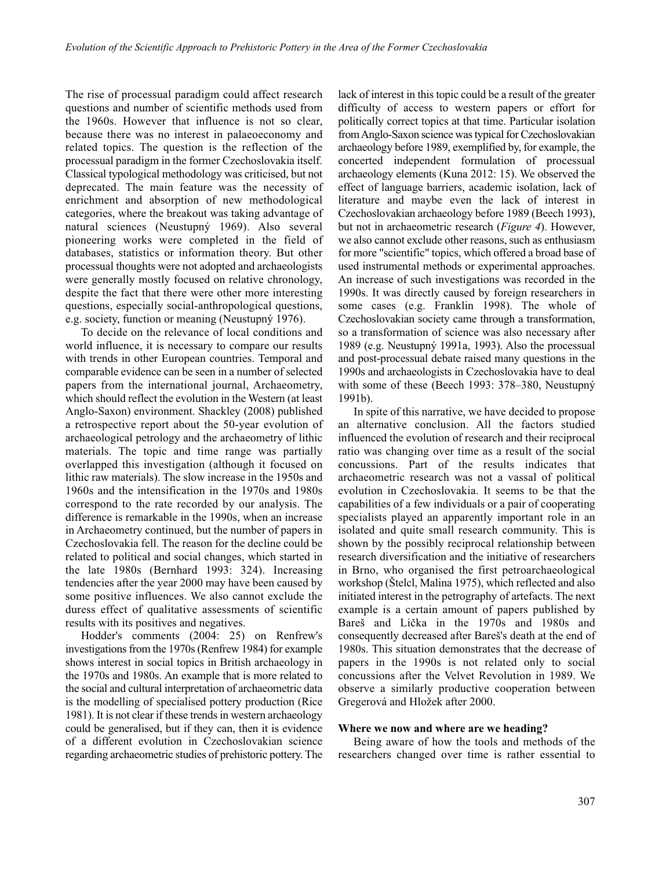The rise of processual paradigm could affect research questions and number of scientific methods used from the 1960s. However that influence is not so clear, because there was no interest in palaeoeconomy and related topics. The question is the reflection of the processual paradigm in the former Czechoslovakia itself. Classical typological methodology was criticised, but not deprecated. The main feature was the necessity of enrichment and absorption of new methodological categories, where the breakout was taking advantage of natural sciences (Neustupný 1969). Also several pioneering works were completed in the field of databases, statistics or information theory. But other processual thoughts were not adopted and archaeologists were generally mostly focused on relative chronology, despite the fact that there were other more interesting questions, especially social-anthropological questions, e.g. society, function or meaning (Neustupný 1976).

To decide on the relevance of local conditions and world influence, it is necessary to compare our results with trends in other European countries. Temporal and comparable evidence can be seen in a number of selected papers from the international journal, Archaeometry, which should reflect the evolution in the Western (at least Anglo-Saxon) environment. Shackley (2008) published a retrospective report about the 50-year evolution of archaeological petrology and the archaeometry of lithic materials. The topic and time range was partially overlapped this investigation (although it focused on lithic raw materials). The slow increase in the 1950s and 1960s and the intensification in the 1970s and 1980s correspond to the rate recorded by our analysis. The difference is remarkable in the 1990s, when an increase in Archaeometry continued, but the number of papers in Czechoslovakia fell. The reason for the decline could be related to political and social changes, which started in the late 1980s (Bernhard 1993: 324). Increasing tendencies after the year 2000 may have been caused by some positive influences. We also cannot exclude the duress effect of qualitative assessments of scientific results with its positives and negatives.

Hodder's comments (2004: 25) on Renfrew's investigations from the 1970s (Renfrew 1984) for example shows interest in social topics in British archaeology in the 1970s and 1980s. An example that is more related to the social and cultural interpretation of archaeometric data is the modelling of specialised pottery production (Rice 1981). It is not clear if these trends in western archaeology could be generalised, but if they can, then it is evidence of a different evolution in Czechoslovakian science regarding archaeometric studies of prehistoric pottery. The lack of interest in this topic could be a result of the greater difficulty of access to western papers or effort for politically correct topics at that time. Particular isolation from Anglo-Saxon science was typical for Czechoslovakian archaeology before 1989, exemplified by, for example, the concerted independent formulation of processual archaeology elements (Kuna 2012: 15). We observed the effect of language barriers, academic isolation, lack of literature and maybe even the lack of interest in Czechoslovakian archaeology before 1989 (Beech 1993), but not in archaeometric research (*Figure 4*). However, we also cannot exclude other reasons, such as enthusiasm for more "scientific" topics, which offered a broad base of used instrumental methods or experimental approaches. An increase of such investigations was recorded in the 1990s. It was directly caused by foreign researchers in some cases (e.g. Franklin 1998). The whole of Czechoslovakian society came through a transformation, so a transformation of science was also necessary after 1989 (e.g. Neustupný 1991a, 1993). Also the processual and post-processual debate raised many questions in the 1990s and archaeologists in Czechoslovakia have to deal with some of these (Beech 1993: 378–380, Neustupný 1991b).

In spite of this narrative, we have decided to propose an alternative conclusion. All the factors studied influenced the evolution of research and their reciprocal ratio was changing over time as a result of the social concussions. Part of the results indicates that archaeometric research was not a vassal of political evolution in Czechoslovakia. It seems to be that the capabilities of a few individuals or a pair of cooperating specialists played an apparently important role in an isolated and quite small research community. This is shown by the possibly reciprocal relationship between research diversification and the initiative of researchers in Brno, who organised the first petroarchaeological workshop (Štelcl, Malina 1975), which reflected and also initiated interest in the petrography of artefacts. The next example is a certain amount of papers published by Bareš and Lička in the 1970s and 1980s and consequently decreased after Bareš's death at the end of 1980s. This situation demonstrates that the decrease of papers in the 1990s is not related only to social concussions after the Velvet Revolution in 1989. We observe a similarly productive cooperation between Gregerová and Hložek after 2000.

### **Where we now and where are we heading?**

Being aware of how the tools and methods of the researchers changed over time is rather essential to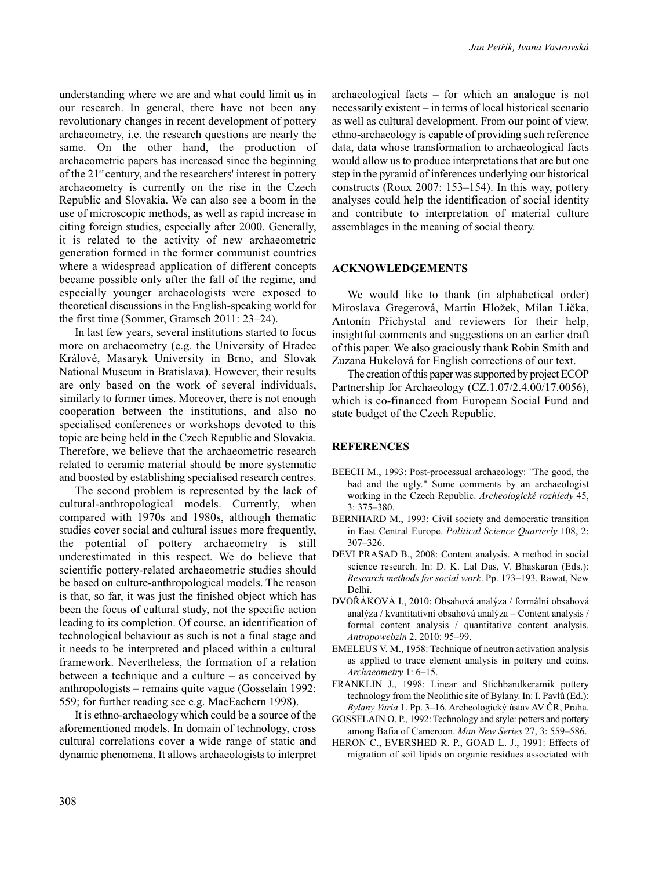understanding where we are and what could limit us in our research. In general, there have not been any revolutionary changes in recent development of pottery archaeometry, i.e. the research questions are nearly the same. On the other hand, the production of archaeometric papers has increased since the beginning of the 21st century, and the researchers' interest in pottery archaeometry is currently on the rise in the Czech Republic and Slovakia. We can also see a boom in the use of microscopic methods, as well as rapid increase in citing foreign studies, especially after 2000. Generally, it is related to the activity of new archaeometric generation formed in the former communist countries where a widespread application of different concepts became possible only after the fall of the regime, and especially younger archaeologists were exposed to theoretical discussions in the English-speaking world for the first time (Sommer, Gramsch 2011: 23–24).

In last few years, several institutions started to focus more on archaeometry (e.g. the University of Hradec Králové, Masaryk University in Brno, and Slovak National Museum in Bratislava). However, their results are only based on the work of several individuals, similarly to former times. Moreover, there is not enough cooperation between the institutions, and also no specialised conferences or workshops devoted to this topic are being held in the Czech Republic and Slovakia. Therefore, we believe that the archaeometric research related to ceramic material should be more systematic and boosted by establishing specialised research centres.

The second problem is represented by the lack of cultural-anthropological models. Currently, when compared with 1970s and 1980s, although thematic studies cover social and cultural issues more frequently, the potential of pottery archaeometry is still underestimated in this respect. We do believe that scientific pottery-related archaeometric studies should be based on culture-anthropological models. The reason is that, so far, it was just the finished object which has been the focus of cultural study, not the specific action leading to its completion. Of course, an identification of technological behaviour as such is not a final stage and it needs to be interpreted and placed within a cultural framework. Nevertheless, the formation of a relation between a technique and a culture – as conceived by anthropologists – remains quite vague (Gosselain 1992: 559; for further reading see e.g. MacEachern 1998).

It is ethno-archaeology which could be a source of the aforementioned models. In domain of technology, cross cultural correlations cover a wide range of static and dynamic phenomena. It allows archaeologists to interpret archaeological facts – for which an analogue is not necessarily existent – in terms of local historical scenario as well as cultural development. From our point of view, ethno-archaeology is capable of providing such reference data, data whose transformation to archaeological facts would allow us to produce interpretations that are but one step in the pyramid of inferences underlying our historical constructs (Roux 2007: 153–154). In this way, pottery analyses could help the identification of social identity and contribute to interpretation of material culture assemblages in the meaning of social theory.

#### **ACKNOWLEDGEMENTS**

We would like to thank (in alphabetical order) Miroslava Gregerová, Martin Hložek, Milan Lička, Antonín Přichystal and reviewers for their help, insightful comments and suggestions on an earlier draft of this paper. We also graciously thank Robin Smith and Zuzana Hukelová for English corrections of our text.

The creation of this paper was supported by project ECOP Partnership for Archaeology (CZ.1.07/2.4.00/17.0056), which is co-financed from European Social Fund and state budget of the Czech Republic.

#### **REFERENCES**

- BEECH M., 1993: Post-processual archaeology: "The good, the bad and the ugly." Some comments by an archaeologist working in the Czech Republic. *Archeologické rozhledy* 45, 3: 375–380.
- BERNHARD M., 1993: Civil society and democratic transition in East Central Europe. *Political Science Quarterly* 108, 2: 307–326.
- DEVI PRASAD B., 2008: Content analysis. A method in social science research. In: D. K. Lal Das, V. Bhaskaran (Eds.): *Research methods for social work*. Pp. 173–193. Rawat, New Delhi.
- DVOŘÁKOVÁ I., 2010: Obsahová analýza / formální obsahová analýza / kvantitativní obsahová analýza – Content analysis / formal content analysis / quantitative content analysis. *Antropowebzin* 2, 2010: 95–99.
- EMELEUS V. M., 1958: Technique of neutron activation analysis as applied to trace element analysis in pottery and coins. *Archaeometry* 1: 6–15.
- FRANKLIN J., 1998: Linear and Stichbandkeramik pottery technology from the Neolithic site of Bylany. In: I. Pavlů (Ed.): *Bylany Varia* 1. Pp. 3–16. Archeologický ústav AV ČR, Praha.
- GOSSELAIN O. P., 1992: Technology and style: potters and pottery among Bafia of Cameroon. *Man New Series* 27, 3: 559–586.
- HERON C., EVERSHED R. P., GOAD L. J., 1991: Effects of migration of soil lipids on organic residues associated with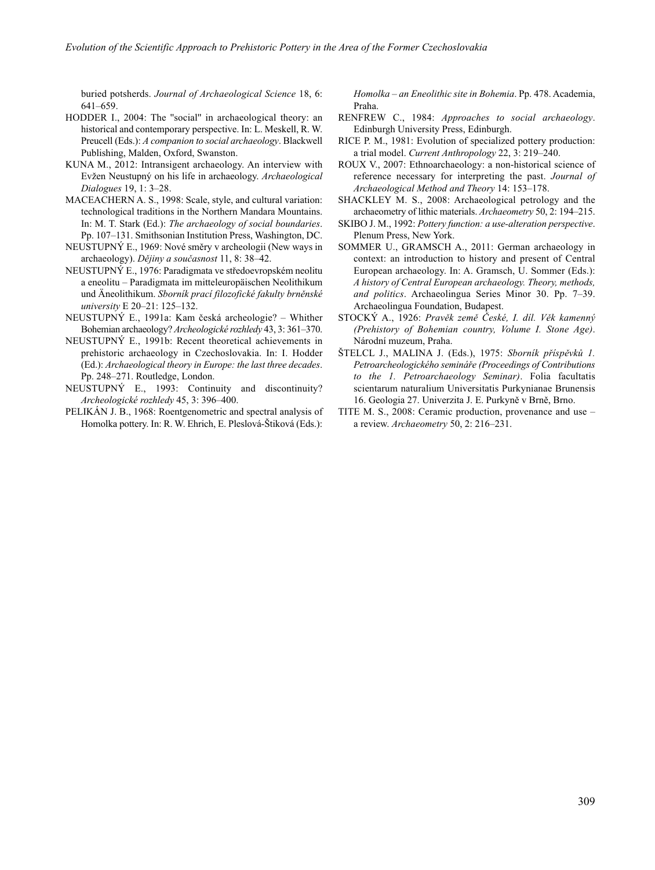buried potsherds. *Journal of Archaeological Science* 18, 6: 641–659.

- HODDER I., 2004: The ''social'' in archaeological theory: an historical and contemporary perspective. In: L. Meskell, R. W. Preucell (Eds.): *A companion to social archaeology*. Blackwell Publishing, Malden, Oxford, Swanston.
- KUNA M., 2012: Intransigent archaeology. An interview with Evžen Neustupný on his life in archaeology. *Archaeological Dialogues* 19, 1: 3–28.
- MACEACHERN A. S., 1998: Scale, style, and cultural variation: technological traditions in the Northern Mandara Mountains. In: M. T. Stark (Ed.): *The archaeology of social boundaries*. Pp. 107–131. Smithsonian Institution Press, Washington, DC.
- NEUSTUPNÝ E., 1969: Nové směry v archeologii (New ways in archaeology). *Dějiny a současnost* 11, 8: 38–42.
- NEUSTUPNÝ E., 1976: Paradigmata ve středoevropském neolitu a eneolitu – Paradigmata im mitteleuropäischen Neolithikum und Äneolithikum. *Sborník prací filozofické fakulty brněnské university* E 20–21: 125–132.
- NEUSTUPNÝ E., 1991a: Kam česká archeologie? Whither Bohemian archaeology? *Archeologické rozhledy* 43, 3: 361–370.
- NEUSTUPNÝ E., 1991b: Recent theoretical achievements in prehistoric archaeology in Czechoslovakia. In: I. Hodder (Ed.): *Archaeological theory in Europe: the last three decades*. Pp. 248–271. Routledge, London.
- NEUSTUPNÝ E., 1993: Continuity and discontinuity? *Archeologické rozhledy* 45, 3: 396–400.
- PELIKÁN J. B., 1968: Roentgenometric and spectral analysis of Homolka pottery. In: R. W. Ehrich, E. Pleslová-Štiková (Eds.):

*Homolka – an Eneolithic site in Bohemia*. Pp. 478. Academia, Praha.

- RENFREW C., 1984: *Approaches to social archaeology*. Edinburgh University Press, Edinburgh.
- RICE P. M., 1981: Evolution of specialized pottery production: a trial model. *Current Anthropology* 22, 3: 219–240.
- ROUX V., 2007: Ethnoarchaeology: a non-historical science of reference necessary for interpreting the past. *Journal of Archaeological Method and Theory* 14: 153–178.
- SHACKLEY M. S., 2008: Archaeological petrology and the archaeometry of lithic materials. *Archaeometry* 50, 2: 194–215.
- SKIBO J. M., 1992: *Pottery function: a use-alteration perspective*. Plenum Press, New York.
- SOMMER U., GRAMSCH A., 2011: German archaeology in context: an introduction to history and present of Central European archaeology. In: A. Gramsch, U. Sommer (Eds.): *A history of Central European archaeology. Theory, methods, and politics*. Archaeolingua Series Minor 30. Pp. 7–39. Archaeolingua Foundation, Budapest.
- STOCKÝ A., 1926: *Pravěk země České, I. díl. Věk kamenný (Prehistory of Bohemian country, Volume I. Stone Age)*. Národní muzeum, Praha.
- ŠTELCL J., MALINA J. (Eds.), 1975: *Sborník příspěvků 1. Petroarcheo lo gického semináře (Proceedings of Contributions to the 1. Petroarchaeology Seminar)*. Folia facultatis scientarum naturalium Universitatis Purkynianae Brunensis 16. Geologia 27. Univerzita J. E. Purkyně v Brně, Brno.
- TITE M. S., 2008: Ceramic production, provenance and use a review. *Archaeometry* 50, 2: 216–231.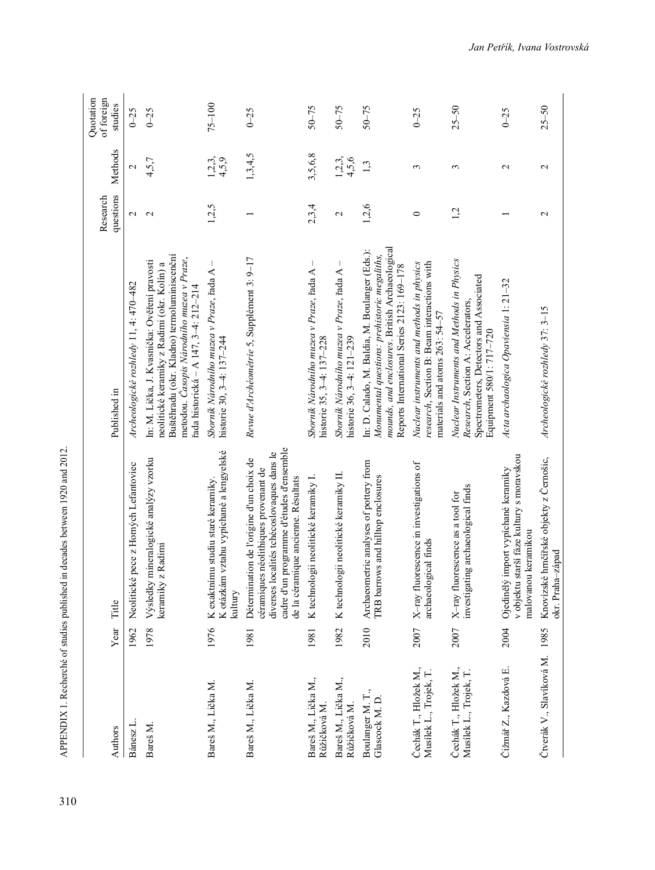| Authors                                         | Year | Title                                                                                                                                                                                                             | Published in                                                                                                                                                                                                                     | questions<br>Research | Methods                  | Quotation<br>of foreign<br>studies |
|-------------------------------------------------|------|-------------------------------------------------------------------------------------------------------------------------------------------------------------------------------------------------------------------|----------------------------------------------------------------------------------------------------------------------------------------------------------------------------------------------------------------------------------|-----------------------|--------------------------|------------------------------------|
| Bánesz L                                        | 1962 | Neolitické pece z Horných Lefantoviec                                                                                                                                                                             | Archeologické rozhledy 11, 4: 470-482                                                                                                                                                                                            | N                     | $\overline{\mathcal{C}}$ | $0 - 25$                           |
| Bareš M.                                        | 1978 | Výsledky mineralogické analýzy vzorku<br>keramiky z Radimi                                                                                                                                                        | Buštěhradu (okr. Kladno) termoluminiscenční<br>metodou. Časopis Národního muzea v Praze,<br>In: M. Lička, J. Kvasnička: Ověření pravosti<br>neolitické keramiky z Radimi (okr. Kolín) a<br>řada historická – A 147, 3–4: 212–214 | $\mathbf 2$           | 4,5,7                    | $0 - 25$                           |
| Bareš M., Lička M.                              | 1976 | K otázkám vztahu vypíchané a lengyelské<br>K exaktnímu studiu staré keramiky.<br>kultury                                                                                                                          | Sbornik Národního muzea v Praze, řada A<br>historie 30, 3-4: 137-244                                                                                                                                                             | 1,2,5                 | 1, 2, 3,<br>4,5,9        | $75 - 100$                         |
| Bareš M., Lička M.                              | 1981 | cadre d'un programme d'études d'ensemble<br>diverses localités tchécoslovaques dans le<br>Détermination de l'origine d'un choix de<br>céramiques néolithiques provenant de<br>de la céramique ancienne. Résultats | Revue d'Archéométrie 5, Supplément 3: 9-17                                                                                                                                                                                       |                       | 1,3,4,5                  | $0 - 25$                           |
| Bareš M., Lička M.,<br>Růžičková M              | 1981 | K technologii neolitické keramiky I.                                                                                                                                                                              | $\mathbf{I}$<br>Sbornik Národního muzea v Praze, řada A<br>historie 35, 3-4: 137-228                                                                                                                                             | 2,3,4                 | 3,5,6,8                  | $50 - 75$                          |
| Bareš M., Lička M.,<br>Růžičková M.             | 1982 | K technologii neolitické keramiky II.                                                                                                                                                                             | Sbornik Národního muzea v Praze, řada A<br>historie 36, 3-4: 121-239                                                                                                                                                             | $\mathbf 2$           | $1,2,3,$<br>4,5,6        | $50 - 75$                          |
| Boulanger M. T.,<br>Glascock M.D.               | 2010 | Archaeometric analyses of pottery from<br>TRB barrows and hilltop enclosures                                                                                                                                      | mounds, and enclosures. British Archaeological<br>In: D. Calado, M. Baldia, M. Boulanger (Eds.):<br>Monumental questions: prehistoric megaliths,<br>Reports International Series 2123: 169-178                                   | 1,2,6                 | 1,3                      | $50 - 75$                          |
| Čechák T., Hložek M.,<br>Musilek L., Trojek, T. | 2007 | X-ray fluorescence in investigations of<br>archaeological finds                                                                                                                                                   | research, Section B: Beam interactions with<br>Nuclear instruments and methods in physics<br>materials and atoms 263: 54-57                                                                                                      | $\circ$               | 3                        | $0 - 25$                           |
| Čechák T., Hložek M.,<br>Musílek L., Trojek, T. | 2007 | investigating archaeological finds<br>X-ray fluorescence as a tool for                                                                                                                                            | Nuclear Instruments and Methods in Physics<br>Spectrometers, Detectors and Associated<br>Research, Section A: Accelerators,<br>Equipment 580/1: 717-720                                                                          | 1,2                   | ξ                        | $25 - 50$                          |
| Čižmář Z., Kazdová E.                           | 2004 | v objektu starší fáze kultury s moravskou<br>Ojedinělý import vypíchané keramiky<br>malovanou keramikou                                                                                                           | Acta archaologica Opaviensia 1: 21-32                                                                                                                                                                                            |                       | $\mathcal{L}$            | $0 - 25$                           |
| Čtverák V., Slavíková M. 1985                   |      | Knovízské hrnčířské objekty z Černošic,<br>okr. Praha-západ                                                                                                                                                       | Archeologické rozhledy 37: 3-15                                                                                                                                                                                                  | $\mathcal{C}$         | $\mathcal{L}$            | $25 - 50$                          |

APPENDIX 1. Recherché of studies published in decades between 1920 and 2012.  $\frac{31}{4}$  APPENDIX 1. Recherché of studies published in decades between 1920 and 2012.

310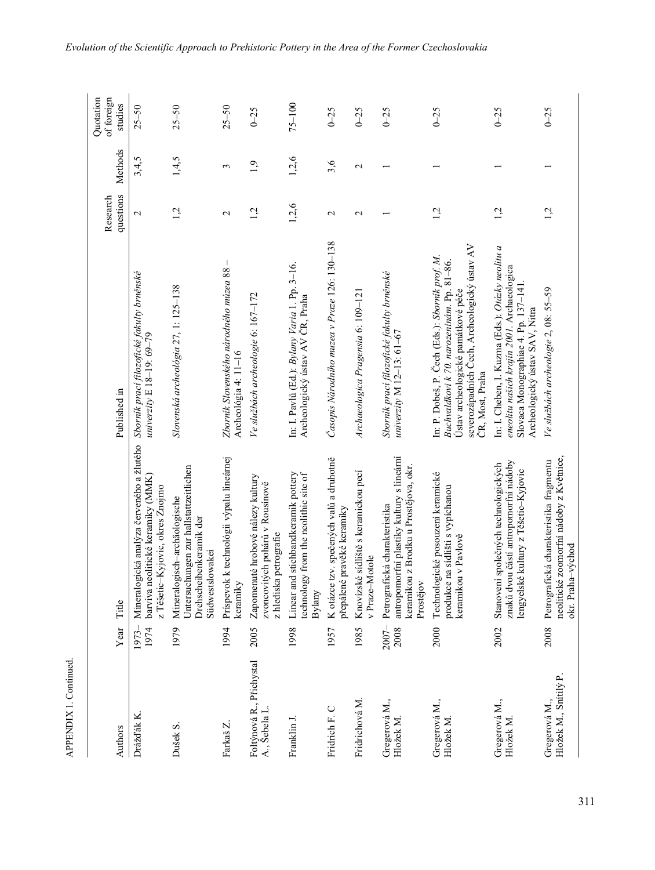| Authors                                  | Year             | Title                                                                                                                            | Published in                                                                                                                                                                                          | questions<br>Research | Methods         | Quotation<br>of foreign<br>studies |
|------------------------------------------|------------------|----------------------------------------------------------------------------------------------------------------------------------|-------------------------------------------------------------------------------------------------------------------------------------------------------------------------------------------------------|-----------------------|-----------------|------------------------------------|
| Drážďák K.                               | 1974<br>1973-    | barviva neolitické keramiky (MMK)<br>z Těšetic-Kyjovic, okres Znojmo<br>Mineralo                                                 | gická analýza červeného a žlutého Sborník praci filozofické fakulty brněnské<br>univerzity $E$ 18-19: 69-79                                                                                           | $\mathbf{\Omega}$     | 3,4,5           | $25 - 50$                          |
| Dušek S.                                 | 1979             | Untersuchungen zur hallstattzeitlichen<br>Mineralogisch-archäologische<br>Drehscheibenkeramik der<br>Südwestslowakei             | Slovenská archeológia 27, 1: 125–138                                                                                                                                                                  | 1,2                   | 1,4,5           | $25 - 50$                          |
| Farkaš Z.                                | 1994             | Príspevok k technológii výpalu lineárnej<br>keramiky                                                                             | $\overline{1}$<br>Zbornik Slovenského národného múzea 88<br>Archeológia 4: 11-16                                                                                                                      | $\mathbf{\sim}$       | 3               | $25 - 50$                          |
| Foltýnová R., Přichystal<br>A., Sebela L | 2005             | Zapomenuté hrobové nálezy kultury<br>zvoncovitých pohárů v Rousínově<br>z hlediska petrografie                                   | Ve službách archeologie 6: 167–172                                                                                                                                                                    | 1,2                   | $\ddot{0}$      | $0 - 25$                           |
| Franklin J.                              | 1998             | Linear and stichbandkeramik pottery<br>technology from the neolithic site of<br>Bylany                                           | In: I. Pavlů (Ed.): Bylany Varia 1. Pp. 3-16.<br>Archeologický ústav AV ČR, Praha                                                                                                                     | 1,2,6                 | 1,2,6           | $75 - 100$                         |
| Fridrich F. C                            | 1957             | K otázce tzv. spečených valů a druhotně<br>přepálené pravěké keramiky                                                            | Časopis Národního muzea v Praze 126: 130–138                                                                                                                                                          | 2                     | 3,6             | $0 - 25$                           |
| Fridrichová M.                           | 1985             | Knovízské sídliště s keramickou pecí<br>v Praze-Motole                                                                           | Archaeologica Pragensia 6: 109-121                                                                                                                                                                    | $\mathbf{\sim}$       | $\mathbf{\sim}$ | $0 - 25$                           |
| Gregerová M.,<br>Hložek M                | $2007 -$<br>2008 | antropomorfní plastiky kultury s lineární<br>keramikou z Brodku u Prostějova, okr.<br>Petrografická charakteristika<br>Prostějov | Sborník prací filozofické fakulty brněnské<br>univerzity $M$ 12-13: $61-67$                                                                                                                           |                       |                 | $0 - 25$                           |
| Gregerová M.,<br>Hložek M                | 2000             | Technologické posouzení keramické<br>produkce na sídlišti s vypíchanou<br>keramikou v Pavlově                                    | severozápadních Čech, Archeologický ústav AV<br>In: P. Dobeš, P. Čech (Eds.): Sborník prof. M.<br>Buchvaldkovi k 70. narozeninám. Pp. 81-86.<br>Ústav archeologické památkové péče<br>CR, Most, Praha | 1,2                   |                 | $0 - 25$                           |
| Gregerová M.,<br>Hložek M                | 2002             | znaků dvou částí antropomorfní nádoby<br>Stanovení společných technologických<br>lengyelské kultury z Těšetic-Kyjovic            | In: I. Cheben, I. Kuzma (Eds.): Otázky neolitu a<br>eneolitu našich krajín 2001. Archaeologica<br>Slovaca Monographiae 4. Pp. 137-141<br>Archeologický ústav SAV, Nitra                               | 1,2                   |                 | $0 - 25$                           |
| Hložek M., Snítilý P.<br>Gregerová M.,   | 2008             | neolitické zoomorfní nádoby z Květnice,<br>Petrografická charakteristika fragmentu<br>okr. Praha-východ                          | Ve službách archeologie 2, 08: 55–59                                                                                                                                                                  | 1,2                   |                 | $0 - 25$                           |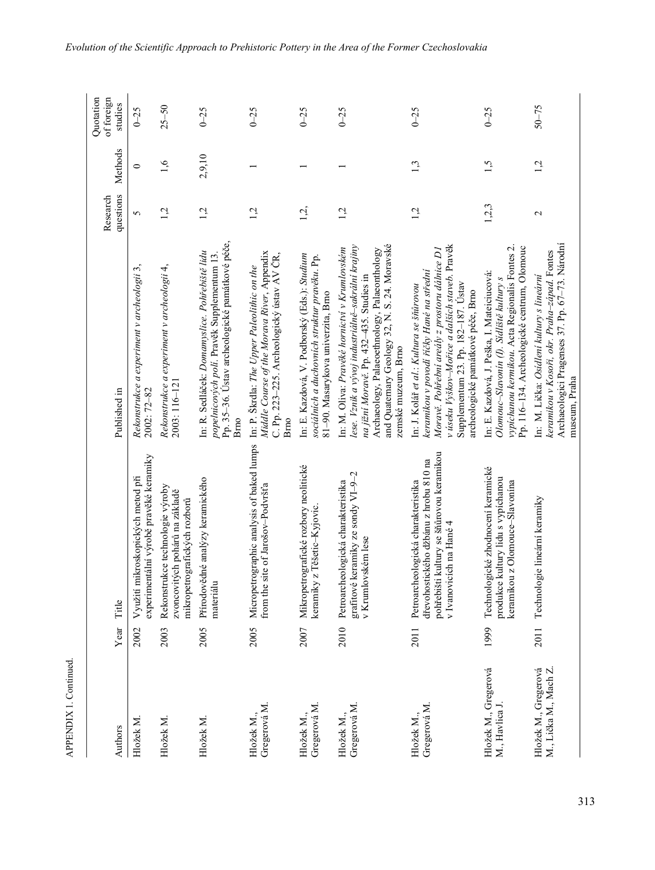| Authors                                       | Year | Title                                                                                                                                              | Published in                                                                                                                                                                                                                                                           | questions<br>Research | Methods | Quotation<br>of foreign<br>studies |
|-----------------------------------------------|------|----------------------------------------------------------------------------------------------------------------------------------------------------|------------------------------------------------------------------------------------------------------------------------------------------------------------------------------------------------------------------------------------------------------------------------|-----------------------|---------|------------------------------------|
| Hložek M                                      | 2002 | experimentální výrobě pravěké keramiky<br>Využití mikroskopických metod při                                                                        | Rekonstrukce a experiment v archeologii 3,<br>2002: 72-82                                                                                                                                                                                                              | 5                     | $\circ$ | $0 - 25$                           |
| Hložek M                                      | 2003 | Rekonstrukce technologie výroby<br>zvoncovitých pohárů na základě<br>mikropetrografických rozborů                                                  | Rekonstrukce a experiment v archeologii 4,<br>2003: 116-121                                                                                                                                                                                                            | 1,2                   | 1,6     | $25 - 50$                          |
| Hložek M.                                     | 2005 | Přírodovědné analýzy keramického<br>materiálu                                                                                                      | Pp. 35-36. Ústav archeologické památkové péče,<br>In: R. Sedláček: Domamyslice. Pohřebiště lidu<br>popelnicových polí. Pravěk Supplementum 13.<br>Brno                                                                                                                 | 1,2                   | 2,9,10  | $0 - 25$                           |
| Gregerová M.<br>Hložek M.,                    | 2005 | Micropetrographic analysis of baked lumps<br>site of Jarošov-Podvršťa<br>from the                                                                  | Middle Course of the Morava River, Appendix<br>C. Pp. 223-225. Archeologický ústav AV ČR,<br>In: P. Skrdla: The Upper Paleolithic on the<br>Bmo                                                                                                                        | 1,2                   |         | $0 - 25$                           |
| Gregerová M.<br>Hložek M.,                    | 2007 | Mikropetrografické rozbory neolitické<br>keramiky z Těšetic-Kyjovic.                                                                               | In: E. Kazdová, V. Podborský (Eds.): Studium<br>sociálních a duchovních struktur pravěku. Pp.<br>81-90. Masarykova univerzita, Brno                                                                                                                                    | 1,2,                  |         | $0 - 25$                           |
| Gregerová M<br>Hložek M.,                     | 2010 | grafitové keramiky ze sondy VI-9-2<br>Petroarcheologická charakteristika<br>v Krumlovském lese                                                     | and Quaternary Geology 32, N. S. 24. Moravské<br>lese. Vznik a vývoj industriálně-sakrální krajiny<br>In: M. Oliva: Pravěké hornictví v Krumlovském<br>Archaeology, Palaeoethnology, Palaeonthology<br>na jižní Moravě. Pp. 432-435. Studies in<br>zemské muzeum, Brno | 1,2                   |         | $0 - 25$                           |
| Gregerová M.<br>Hložek M.,                    | 2011 | pohřebišti kultury se šňůrovou keramikou<br>dřevohostického džbánu z hrobu 810 na<br>Petroarcheologická charakteristika<br>v Ivanovicích na Hané 4 | v úseku Vyškov-Mořice a dalších staveb. Pravěk<br>Moravě. Pohřební areály z prostoru dálnice D1<br>keramikou v povodí říčky Hané na střední<br>Supplementum 23. Pp. 182-187. Ústav<br>In: J. Kolář et al.: Kultura se šňůrovou<br>archeologické památkové péče, Brno   | 1,2                   | 1,3     | $0 - 25$                           |
| Hložek M., Gregerová<br>M., Havlica J.        | 1999 | Technologické zhodnocení keramické<br>produkce kultury lidu s vypíchanou<br>keramikou z Olomouce-Slavonína                                         | vypíchanou kermikou. Acta Regionalis Fontes 2.<br>Pp. 116-134. Archeologické centrum, Olomouc<br>In: E. Kazdová, J. Peška, I. Mateiciucová:<br>Olomouc-Slavonin (I). Sidliště kultury s                                                                                | 1,2,3                 | 1,5     | $0 - 25$                           |
| M., Lička M., Mach Z.<br>Hložek M., Gregerová | 2011 | Technologie lineární keramiky                                                                                                                      | Archaeologici Pragenses 37. Pp. 67-73. Národní<br>keramikou v Kosoři, okr. Praha-západ. Fontes<br>In: M. Lička: Osídlení kultury s lineární<br>museum, Praha                                                                                                           | 2                     | 1,2     | $50 - 75$                          |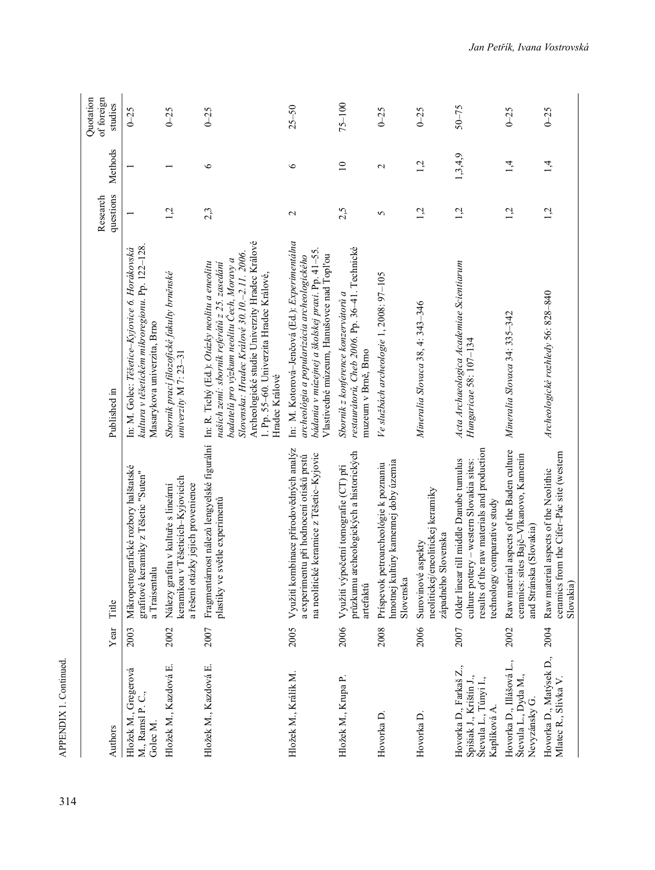| Authors                                                                                    | Year | Title                                                                                                                                                              | Published in                                                                                                                                                                                                                                                                                                | questions<br>Research | Methods         | Quotation<br>of foreign<br>studies |
|--------------------------------------------------------------------------------------------|------|--------------------------------------------------------------------------------------------------------------------------------------------------------------------|-------------------------------------------------------------------------------------------------------------------------------------------------------------------------------------------------------------------------------------------------------------------------------------------------------------|-----------------------|-----------------|------------------------------------|
| Hložek M., Gregerová<br>M., Ramsl P. C.,<br>Golec M.                                       | 2003 | Mikropetrografické rozbory halštatské<br>grafitové keramiky z Těšetic "Suten"<br>a Traisentalu                                                                     | kultura v těšetickém mikroregionu. Pp. 122–128<br>In: M. Golec: Těšetice-Kyjovice 6. Horákovská<br>Masarykova univerzita, Brno                                                                                                                                                                              |                       |                 | $0 - 25$                           |
| Hložek M., Kazdová E.                                                                      | 2002 | keramikou v Těšeticích-Kyjovicích<br>Nálezy grafitu v kultuře s lineární<br>a řešení otázky jejich provenience                                                     | Sborník prací filozofické fakulty brněnské<br>univerzity M 7: 23-31                                                                                                                                                                                                                                         | 1,2                   |                 | $0 - 25$                           |
| Hložek M., Kazdová E.                                                                      | 2007 | Fragmentárnost nálezů lengyelské figurální<br>ve světle experimentů<br>plastiky                                                                                    | Archeologické studie Univerzity Hradec Králové<br>Slovenska: Hradec Králové 30.10.-2.11. 2006.<br>badatelů pro výzkum neolitu Čech, Moravy a<br>In: R. Tichý (Ed.): Otázky neolitu a eneolitu<br>našich zemí: sbornik referátů z 25. zasedání<br>1. Pp. 55-60. Univerzita Hradec Králové.<br>Hradec Králové | 2,3                   | $\circ$         | $0 - 25$                           |
| Hložek M., Králík M.                                                                       | 2005 | kombinace přírodovědných analýz<br>na neolitické keramice z Těšetic-Kyjovic<br>a experimentu při hodnocení otisků prstů<br>Využití l                               | In: M. Kotorová-Jenčová (Ed.): Experimentálna<br>bádania v múzejnej a školskej praxi. Pp. 41-55.<br>archeológia a popularizácia archeologického<br>Vlastivedné múzeum, Hanušovce nad Topľou                                                                                                                 | $\mathcal{L}$         | $\circ$         | $25 - 50$                          |
| Hložek M., Krupa P.                                                                        | 2006 | průzkumu archeologických a historických<br>Využití výpočetní tomografie (CT) při<br>artefaktů                                                                      | restaurátorů, Cheb 2006. Pp. 36-41. Technické<br>Sbornik z konference konzervátorů a<br>muzeum v Brně, Brno                                                                                                                                                                                                 | 2,5                   | $\overline{10}$ | $75 - 100$                         |
| Hovorka D.                                                                                 | 2008 | hmotnej kultúry kamennej doby územia<br>Príspevok petroarcheológie k poznaniu<br>Slovenska                                                                         | Ve službách archeologie 1, 2008: 97–105                                                                                                                                                                                                                                                                     | 5                     | 2               | $0 - 25$                           |
| Hovorka D.                                                                                 | 2006 | neolitickej/eneolitickej keramiky<br>západného Slovenska<br>Surovinové aspekty                                                                                     | Mineralia Slovaca 38, 4: 343-346                                                                                                                                                                                                                                                                            | 1,2                   | 1,2             | $0 - 25$                           |
| Hovorka D., Farkaš Z.,<br>Spišiak J., Krištín J.,<br>Števula L., Túnyi I.,<br>Kaplíková A. | 2007 | results of the raw materials and production<br>Older linear till middle Danube tumulus<br>culture pottery - western Slovakia sites:<br>echnology comparative study | Acta Archaeologica Academiae Scientiarum<br>Hungaricae 58: 107-134                                                                                                                                                                                                                                          | 1,2                   | 1, 3, 4, 9      | $50 - 75$                          |
| Hovorka D., Illášová L.,<br>Števula L., Dyda M.,<br>Nevyzánsky G.                          | 2002 | Raw material aspects of the Baden culture<br>ceramics: sites Bajč-Vlkanovo, Kamenín<br>and Stránska (Slovakia)                                                     | Mineralia Slovaca 34: 335-342                                                                                                                                                                                                                                                                               | $\vec{a}$             | 1,4             | $0 - 25$                           |
| Hovorka D., Matýsek D.,<br>Mlatec R., Slivka V.                                            | 2004 | ceramics from the Cifer-Pác site (western<br>Raw material aspects of the Neolithic<br>Slovakia                                                                     | Archeologické rozhledy 56: 828-840                                                                                                                                                                                                                                                                          | 1,2                   | 1,4             | $0 - 25$                           |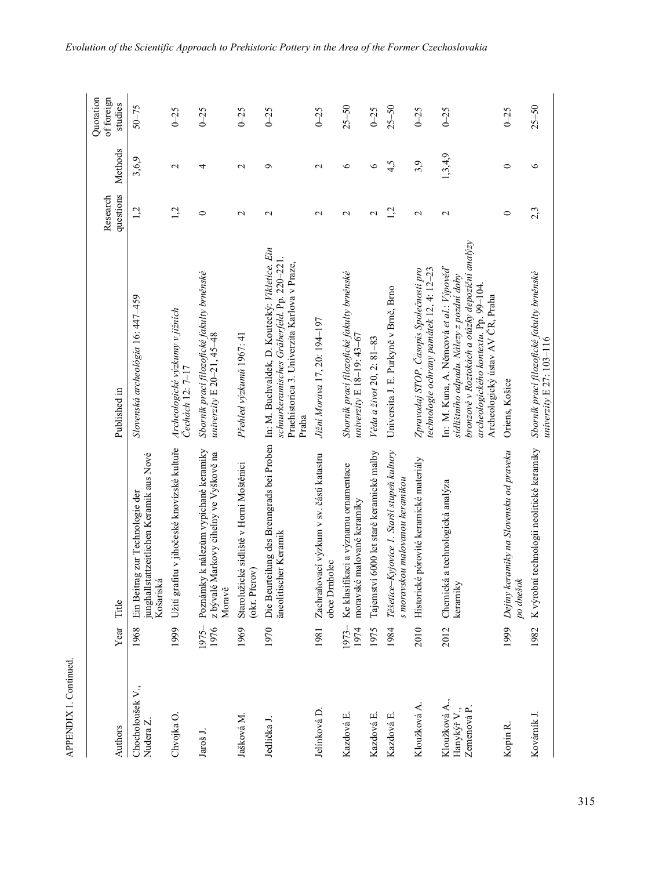| ١ |  |
|---|--|
|   |  |
|   |  |
|   |  |
| г |  |
|   |  |

| Authors                                           | Year Title       |                                                                                           | Published in                                                                                                                                                                                                        | questions<br>Research | Methods         | Quotation<br>of foreign<br>studies |
|---------------------------------------------------|------------------|-------------------------------------------------------------------------------------------|---------------------------------------------------------------------------------------------------------------------------------------------------------------------------------------------------------------------|-----------------------|-----------------|------------------------------------|
| Chocholoušek V.,<br>Nudera Z.                     | 1968             | junghallstattzeitlichen Keramik aus Nové<br>Ein Beitrag zur Technologie der<br>Košariská  | Slovenská archeológia 16: 447–459                                                                                                                                                                                   | 1,2                   | 3,6,9           | $50 - 75$                          |
| Chvojka O.                                        | 1999             | Užití grafitu v jihočeské knovízské kultuře                                               | Archeologické výzkumy v jižních<br>Cechách 12: 7-17                                                                                                                                                                 | 1,2                   | $\mathbf{\sim}$ | $0 - 25$                           |
| Jaroš J.                                          | $1975 -$<br>1976 | Poznámky k nálezům vypíchané keramiky<br>z bývalé Markovy cihelny ve Vyškově na<br>Moravě | Sbornik prací filozofické fakulty brněnské<br>univerzity $E\ 20 - 21, 45 - 48$                                                                                                                                      | $\circ$               | 4               | $0 - 25$                           |
| Jašková M.                                        | 1969             | Starolužické sídliště v Horní Moštěnici<br>(okr. Přerov)                                  | Přehled výzkumů 1967: 41                                                                                                                                                                                            | $\mathbf{C}$          | $\mathbf{C}$    | $0 - 25$                           |
| Jedlička J.                                       | 1970             | äneolitischer Keramik                                                                     | Die Beurteilung des Brenngrads bei Proben In: M. Buchvaldek, D. Koutecký: Vikletice. Ein<br>schnurkeramisches Gräberfeld. Pp. 220-221.<br>Praehistorica 3. Univerzita Karlova v Praze,<br>Praha                     | $\mathbf{\sim}$       | ç               | $0 - 25$                           |
| Jelínková D.                                      | 1981             | Zachraňovací výzkum v sv. části katastru<br>obce Drnholec                                 | Jižní Morava 17, 20: 194-197                                                                                                                                                                                        | $\mathbf{\sim}$       | $\mathbf{\sim}$ | $0 - 25$                           |
| Kazdová E.                                        | 1973-<br>1974    | Ke klasifikaci a významu ornamentace<br>moravské malované keramiky                        | Sborník prací filozofické fakulty brněnské<br>univerzity E $18-19:43-67$                                                                                                                                            | $\mathbf{\sim}$       | $\circ$         | $25 - 50$                          |
| Kazdová E.                                        | 1975             | Tajemství 6000 let staré keramické malby                                                  | Věda a život 20, 2: 81-83                                                                                                                                                                                           | $\mathcal{L}$         | $\circ$         | $0 - 25$                           |
| Kazdová E.                                        | 1984             | Těšetice-Kyjovice 1. Starší stupeň kultury<br>s moravskou malovanou keramikou             | Universita J. E. Purkyně v Brně, Brno                                                                                                                                                                               | 1,2                   | 4,5             | $25 - 50$                          |
| Kloužková A.                                      | 2010             | é pórovité keramické materiály<br>Historick                                               | technologie ochrany památek 12, 4: 12-23<br>Zpravodaj STOP. Časopis Společnosti pro                                                                                                                                 | $\mathbf{C}$          | 3,9             | $0 - 25$                           |
| Kloužková A.,<br>Hanykýř ${\rm V}$ ., Zemenová P. | 2012             | Chemická a technologická analýza<br>keramiky                                              | bronzové v Roztokách a otázky depoziční analýzy<br>In: M. Kuna, A. Němcová et al.: Výpověď<br>sidlištniho odpadu. Nálezy z pozdní doby<br>archeologického kontextu. Pp. 99-104.<br>Archeologický ústav AV ČR, Praha | $\mathbf{\sim}$       | 1,3,4,9         | $0 - 25$                           |
| Kopin R                                           | 1999             | Dejiny keramiky na Slovensku od praveku<br>po dnešok                                      | Oriens, Košice                                                                                                                                                                                                      | $\circ$               | $\circ$         | $0 - 25$                           |
| Kovárník J.                                       | 1982             | K výrobní technologii neolitické keramiky                                                 | Sborník prací filozofické fakulty brněnské<br>univerzity E 27: 103-116                                                                                                                                              | 2,3                   | $\circ$         | $25 - 50$                          |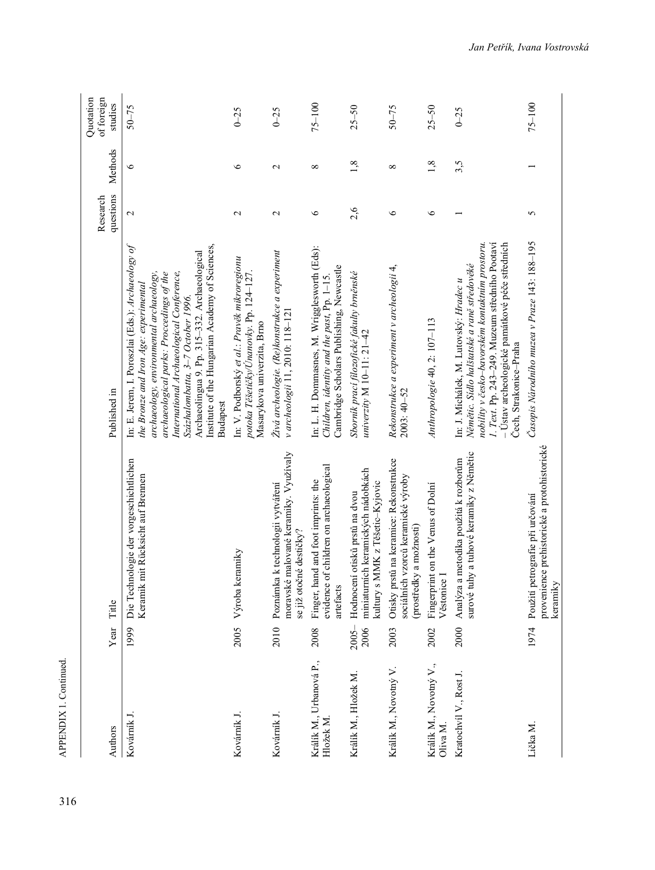| Authors                              | Year             | Title                                                                                                        | Published in                                                                                                                                                                                                                                                                                                                                                                             | questions<br>Research | Methods         | Quotation<br>of foreign<br>studies |
|--------------------------------------|------------------|--------------------------------------------------------------------------------------------------------------|------------------------------------------------------------------------------------------------------------------------------------------------------------------------------------------------------------------------------------------------------------------------------------------------------------------------------------------------------------------------------------------|-----------------------|-----------------|------------------------------------|
| Kovárník J.                          | 1999             | Die Technologie der vorgeschichtlichen<br>Keramik mit Rücksicht auf Brennen                                  | In: E. Jerem, I. Poroszlai (Eds.): Archaeology of<br>Institute of the Hungarian Academy of Sciences,<br>Archaeolingua 9. Pp. 315-332. Archaeological<br>International Archaeological Conference,<br>archaeology, environmental archaeology,<br>archaeological parks: Proccedings of the<br>the Bronze and Iron Age: experimental<br>Százhalombatta, 3-7 October 1996.<br><b>Budapest</b> | $\mathcal{L}$         | 6               | $50 - 75$                          |
| Kovárník J.                          | 2005             | keramiky<br>Výroba                                                                                           | In: V. Podborský et al : Pravěk mikroregionu<br>potoka Těšetičky/Únanovky. Pp. 124–127.<br>Masarykova univerzita, Brno                                                                                                                                                                                                                                                                   | $\mathbf 2$           | $\bullet$       | $0 - 25$                           |
| Kovárník J.                          | 2010             | moravské malované keramiky. Využívaly<br>Poznámka k technologii vytváření<br>se již otočné destičky?         | Živá archeologie. (Re)konstrukce a experiment<br>v archeologii 11, 2010: 118-121                                                                                                                                                                                                                                                                                                         | $\mathbf 2$           | $\mathbf{\sim}$ | $0 - 25$                           |
| Králík M., Urbanová P.,<br>Hložek M. | 2008             | evidence of children on archaeological<br>Finger, hand and foot imprints: the<br>artefacts                   | In: L. H. Dommasnes, M. Wrigglesworth (Eds):<br>Cambridge Scholars Publishing, Newcastle<br>Children, identity and the past, Pp. 1-15.                                                                                                                                                                                                                                                   | $\circ$               | $\infty$        | $75 - 100$                         |
| Králík M., Hložek M.                 | $2005 -$<br>2006 | miniaturních keramických nádobkách<br>s MMK z Těšetic-Kyjovic<br>Hodnocení otisků prstů na dvou<br>kultury s | Sborník prací filozofické fakulty brněnské<br>univerzity M $10-11: 21-42$                                                                                                                                                                                                                                                                                                                | 2,6                   | 1,8             | $25 - 50$                          |
| Králík M., Novotný V.                | 2003             | orstů na keramice: Rekonstrukce<br>sociálních vzorců keramické výroby<br>(prostředky a možnosti)<br>Otisky p | Rekonstrukce a experiment v archeologii 4,<br>$2003:40 - 52$                                                                                                                                                                                                                                                                                                                             | ৩                     | $^{\circ}$      | $50 - 75$                          |
| Králík M., Novotný V.,<br>Oliva M.   | 2002             | Fingerprint on the Venus of Dolní<br>Věstonice I                                                             | Anthropologie 40, 2: 107-113                                                                                                                                                                                                                                                                                                                                                             | $\circ$               | 1,8             | $25 - 50$                          |
| Kratochvíl V., Rost J.               | 2000             | surové tuhy a tuhové keramiky z Němětic<br>a metodika použitá k rozborům<br>Analyza                          | 1. Text. Pp. 243-249. Muzeum středního Pootaví<br>nobility v česko-bavorském kontaktním prostoru.<br>– Ústav archeologické památkové péče středních<br>Němětic. Sídlo halštatské a raně středověké<br>In: J. Michálek, M. Lutovský: Hradec u<br>Čech, Strakonice-Praha                                                                                                                   |                       | 3,5             | $0 - 25$                           |
| Lička M.                             | 1974             | provenience prehistorické a protohistorické<br>petrografie při určování<br>keramiky<br>Použití               | Časopis Národního muzea v Praze 143: 188-195                                                                                                                                                                                                                                                                                                                                             | 5                     |                 | $75 - 100$                         |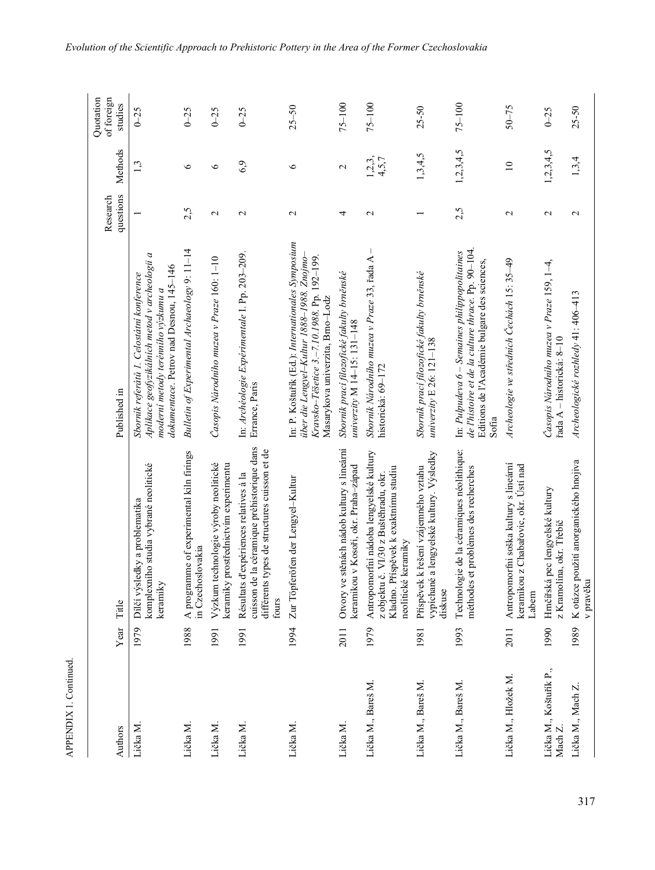| Authors                           | Year | Title                                                                                                                                              | Published in                                                                                                                                                                      | questions<br>Research | Methods             | Quotation<br>of foreign<br>studies |
|-----------------------------------|------|----------------------------------------------------------------------------------------------------------------------------------------------------|-----------------------------------------------------------------------------------------------------------------------------------------------------------------------------------|-----------------------|---------------------|------------------------------------|
| Lička M.                          | 1979 | komplexního studia vybrané neolitické<br>Dílčí výsledky a problematika<br>keramiky                                                                 | Aplikace geofyzikálních metod v archeologii a<br>dokumentace. Petrov nad Desnou, 145-146<br>Sborník referátů 1. Celostátní konference<br>moderní metody terénního výzkumu a       |                       | 1,3                 | $0 - 25$                           |
| Lička M.                          | 1988 | A programme of experimental kiln firings<br>in Czechoslovakia                                                                                      | Bulletin of Experimental Archaeology 9: 11-14                                                                                                                                     | 2,5                   | 6                   | $0 - 25$                           |
| Lička M.                          | 1991 | technologie výroby neolitické<br>prostřednictvím experimentu<br>keramiky<br>Výzkum                                                                 | Časopis Národního muzea v Praze 160: 1-10                                                                                                                                         | $\mathcal{L}$         | $\circ$             | $0 - 25$                           |
| Lička M.                          | 1991 | cuisson de la céramique préhistorique dans<br>différents types de structures cuisson et de<br>d'expériences relatives à la<br>Résultats<br>fours   | In: Archéologie Expérimentale I. Pp. 203-209.<br>Errance, Paris                                                                                                                   | $\mathbf{\Omega}$     | 6,9                 | $0 - 25$                           |
| Lička M.                          | 1994 | Zur Töpferöfen der Lengyel-Kultur                                                                                                                  | In: P. Koštuřik (Ed.): Internationales Symposium<br>über die Lengyel-Kultur 1888–1988. Znojmo-<br>Kravsko-Těšetice 3.–7.10.1988. Pp. 192–199.<br>Masarykova univerzita, Brno–Lodz | $\mathbf 2$           | $\circ$             | $25 - 50$                          |
| Lička M.                          | 2011 | Otvory ve stěnách nádob kultury s lineární<br>keramikou v Kosoři, okr. Praha-západ                                                                 | Sborník prací filozofické fakulty brněnské<br>univerzity M 14-15: 131-148                                                                                                         | 4                     | $\mathcal{L}$       | $75 - 100$                         |
| Lička M., Bareš M.                | 1979 | Antropomorfní nádoba lengyelské kultury<br>Kladno. Příspěvek k exaktnímu studiu<br>č. VI/30 z Buštěhradu, okr.<br>neolitické keramiky<br>z objektu | $\mathbf{I}$<br>Sborník Národního muzea v Praze 33, řada A<br>historická: 69-172                                                                                                  | $\mathbf{\Omega}$     | $1, 2, 3,$<br>4,5,7 | $75 - 100$                         |
| Lička M., Bareš M.                | 1981 | vypíchané a lengyelské kultury. Výsledky<br>Příspěvek k řešení vzájemného vztahu<br>diskuse                                                        | Sborník prací filozofické fakulty brněnské<br>univerzity E 26: $121-138$                                                                                                          |                       | 1, 3, 4, 5          | $25 - 50$                          |
| Lička M., Bareš M.                | 1993 | Technologie de la céramiques néolithique:<br>et problèmes des recherches<br>méthodes                                                               | de l'histoire et de la culture thrace. Pp. 90-104.<br>In: Pulpudeva 6 – Semaines philippopolitaines<br>Editions de l'Académie bulgare des sciences,<br>Sofia                      | 2,5                   | 1,2,3,4,5           | $75 - 100$                         |
| Lička M., Hložek M.               | 2011 | Antropomorfni soška kultury s lineární<br>keramikou z Chabařovic, okr. Ústí nad<br>Labem                                                           | Archeologie ve středních Čechách 15: 35–49                                                                                                                                        | $\mathbf 2$           | $\overline{10}$     | $50 - 75$                          |
| Lička M., Koštuřík P.,<br>Mach Z. | 1990 | Hrnčířská pec lengyelské kultury<br>z Kramolína, okr. Třebíč                                                                                       | Časopis Národního muzea v Praze 159, 1–4,<br>řada A – historická: 8–10                                                                                                            | $\mathbf{\sim}$       | 1,2,3,4,5           | $0 - 25$                           |
| Lička M., Mach Z.                 | 1989 | K otázce použití anorganického hnojiva<br>v pravěki                                                                                                | Archeologické rozhledy 41: 406-413                                                                                                                                                | $\mathbf{\sim}$       | 1,3,4               | $25 - 50$                          |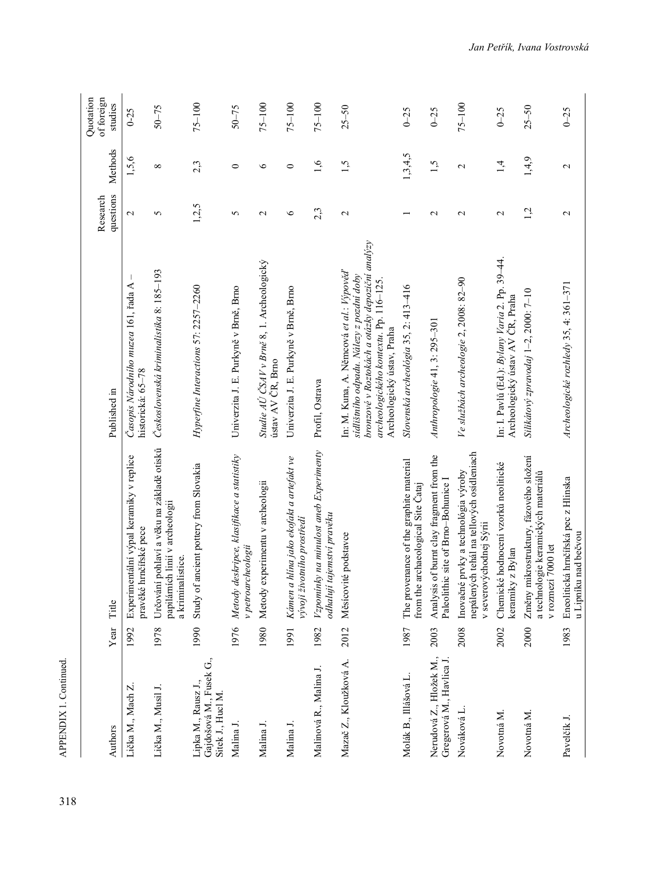| Authors                                                             | Year | Title                                                                                                       | Published in                                                                                                                                                                                                   | questions<br>Research    | Methods           | Quotation<br>of foreign<br>studies |
|---------------------------------------------------------------------|------|-------------------------------------------------------------------------------------------------------------|----------------------------------------------------------------------------------------------------------------------------------------------------------------------------------------------------------------|--------------------------|-------------------|------------------------------------|
| Lička M., Mach Z.                                                   | 1992 | Experimentální výpal keramiky v replice<br>pravěké hrnčířské pece                                           | Časopis Národního muzea 161, řada A<br>historická: 65-78                                                                                                                                                       | $\mathbf{\sim}$          | 1,5,6             | $0 - 25$                           |
| Lička M., Musil J.                                                  | 1978 | Určování pohlaví a věku na základě otisků<br>papilárních linií v archeologii<br>a kriminalistice.           | Československá kriminalistika 8: 185-193                                                                                                                                                                       | 5                        | $^{\circ}$        | $50 - 75$                          |
| Gajdošová M., Fusek G.,<br>Lipka M., Rausz J.,<br>Sitek J., Hucl M. | 1990 | Study of ancient pottery from Slovakia                                                                      | Hyperfine Interactions 57: 2257-2260                                                                                                                                                                           | 1,2,5                    | 2,3               | $75 - 100$                         |
| Malina J.                                                           | 1976 | deskripce, klasifikace a statistiky<br>v petroarcheologii<br>Metody                                         | Univerzita J. E. Purkyně v Brně, Brno                                                                                                                                                                          | 5                        | $\circ$           | $50 - 75$                          |
| Malina J.                                                           | 1980 | experimentu v archeologii<br>Metody                                                                         | Studie AU ČSAV v Brně 8, 1. Archeologický<br>ústav AV ČR, Brno                                                                                                                                                 | $\mathcal{L}$            | $\circ$           | $75 - 100$                         |
| Malina J.                                                           | 1991 | Kámen a hlína jako ekofakt a artefakt ve<br>vývoji životního prostředí                                      | Univerzita J. E. Purkyně v Brně, Brno                                                                                                                                                                          | $\circ$                  | $\circ$           | $75 - 100$                         |
| Malinová R., Malina J.                                              | 1982 | Vzpomínky na minulost aneb Experimenty<br>tajemství pravěku<br>odhalují                                     | Profil, Ostrava                                                                                                                                                                                                | 2,3                      | $\overline{0}$    | $75 - 100$                         |
| Mazač Z., Kloužková A.                                              | 2012 | Měsícovité podstavce                                                                                        | bronzové v Roztokách a otázky depoziční analýzy<br>In: M. Kuna, A. Němcová et al.: Výpověď<br>sidlištniho odpadu. Nálezy z pozdní doby<br>archeologického kontextu. Pp. 116-125.<br>Archeologický ústav, Praha | $\mathbf{C}$             | 1,5               | $25 - 50$                          |
| Molák B., Illášová L.                                               | 1987 | The provenance of the graphite material<br>archaeological Site Cataj<br>from the                            | Slovenská archeológia 35, 2: 413-416                                                                                                                                                                           | $\overline{\phantom{0}}$ | 1,3,4,5           | $0 - 25$                           |
| Nerudová Z., Hložek M.,<br>Gregerová M., Havlica J.                 | 2003 | Analysis of burnt clay fragment from the<br>Paleolithic site of Brno-Bohunice I                             | Anthropologie 41, 3: 295-301                                                                                                                                                                                   | $\mathbf 2$              | 1,5               | $0 - 25$                           |
| Nováková L                                                          | 2008 | nepálených tehál na tellových osídleniach<br>Inovačné prvky a technológia výroby<br>v severovýchodnej Sýrii | Ve službách archeologie 2, 2008: 82-90                                                                                                                                                                         | $\mathbf 2$              | $\mathbf{\Omega}$ | $75 - 100$                         |
| Novotná M.                                                          | 2002 | Chemické hodnocení vzorků neolitické<br>keramiky z Bylan                                                    | In: I. Pavlů (Ed.): Bylany Varia 2. Pp. 39-44.<br>Archeologický ústav AV ČR, Praha                                                                                                                             | 2                        | $\vec{4}$         | $0 - 25$                           |
| Novotná M.                                                          | 2000 | Změny mikrostruktury, fázového složení<br>a technologie keramických materiálů<br>v rozmezí 7000 let         | Silikátový zpravodaj 1-2, 2000: 7-10                                                                                                                                                                           | 1,2                      | 1,4,9             | $25 - 50$                          |
| Pavelčík J.                                                         | 1983 | Eneolitická hrnčířská pec z Hlinska<br>u Lipníku nad bečvou                                                 | Archeologické rozhledy 35, 4: 361-371                                                                                                                                                                          | 2                        | 2                 | $0 - 25$                           |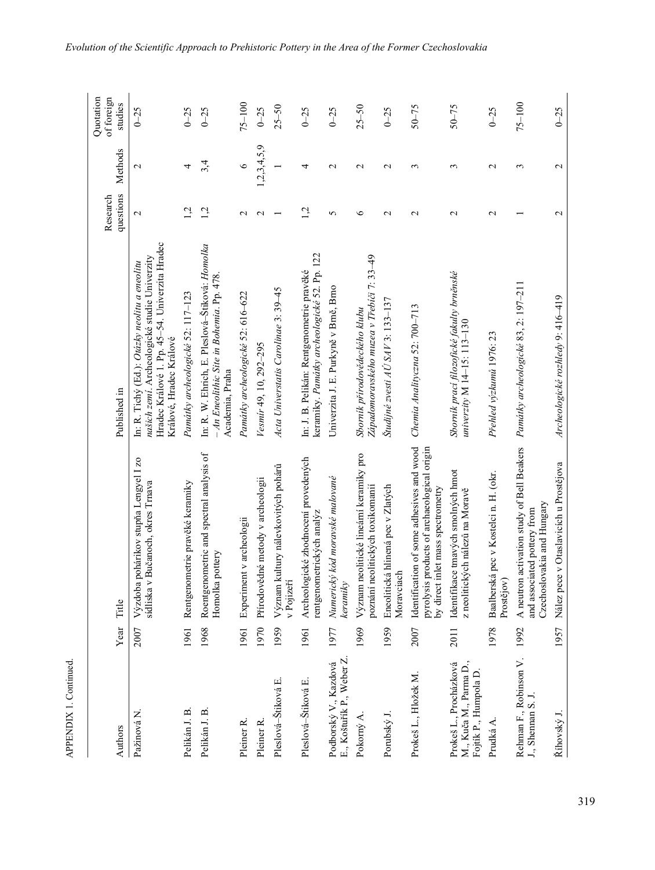| Authors                                                                  | Year | Title                                                                                                                            | Published in                                                                                                                                                                      | questions<br>Research | Methods          | Quotation<br>of foreign<br>studies |
|--------------------------------------------------------------------------|------|----------------------------------------------------------------------------------------------------------------------------------|-----------------------------------------------------------------------------------------------------------------------------------------------------------------------------------|-----------------------|------------------|------------------------------------|
| Pažinová N.                                                              | 2007 | Výzdoba pohárikov stupňa Lengyel I zo<br>sídliska v Bučanoch, okres Trnava                                                       | Hradec Králové 1. Pp. 45-54. Univerzita Hradec<br>našich zemí. Archeologické studie Univerzity<br>In: R. Tichý (Ed.): <i>Otázky neolitu a eneolitu</i><br>Králové, Hradec Králové | $\mathbf{\Omega}$     | $\mathcal{L}$    | $0 - 25$                           |
| Pelikán J. B.                                                            | 1961 | Rentgenometrie pravěké keramiky                                                                                                  | Památky archeologické 52: 117-123                                                                                                                                                 | 1,2                   | 4                | $0 - 25$                           |
| Pelikán J. B.                                                            | 1968 | Roentgenometric and spectral analysis of<br>Homolka pottery                                                                      | In: R. W. Ehrich, E. Pleslová-Štiková: Homolka<br>- An Eneolithic Site in Bohemia. Pp. 478.<br>Academia, Praha                                                                    | 1,2                   | 3,4              | $0 - 25$                           |
| Pleiner R.                                                               | 1961 | Experiment v archeologii                                                                                                         | Památky archeologické 52: 616-622                                                                                                                                                 | $\mathcal{L}$         | $\circ$          | $75 - 100$                         |
| Pleiner <sub>R</sub>                                                     | 1970 | Přírodovědné metody v archeologii                                                                                                | Vesmir 49, 10, 292-295                                                                                                                                                            | $\mathbf{\Omega}$     | 1, 2, 3, 4, 5, 9 | $0 - 25$                           |
| Pleslová-Štiková E.                                                      | 1959 | Význam kultury nálevkovitých pohárů<br>v Pojizeř                                                                                 | Acta Universtatis Carolinae 3: 39-45                                                                                                                                              |                       |                  | $25 - 50$                          |
| Pleslová-Štiková E.                                                      | 1961 | Archeologické zhodnocení provedených<br>rentgenometrických analýz                                                                | keramiky. Památky archeologické 52. Pp. 122<br>In: J. B. Pelikán: Rentgenometrie pravěké                                                                                          | 1,2                   | 4                | $0 - 25$                           |
| E., Koštuřík P., Weber Z.<br>Podborský V., Kazdová                       | 1977 | Numerický kód moravské malované<br>keramiky                                                                                      | Univerzita J. E. Purkyně v Brně, Brno                                                                                                                                             | 5                     | $\mathbf 2$      | $0 - 25$                           |
| Pokorný A.                                                               | 1969 | Význam neolitické lineární keramiky pro<br>poznání neolitických toxikomanií                                                      | Západomoravského muzea v Třebíči 7: 33–49<br>Sbornik přirodovědeckého klubu                                                                                                       | $\circ$               | $\mathbf 2$      | $25 - 50$                          |
| Porubský J.                                                              | 1959 | Eneolitická hlinená pec v Zlatých<br>Moravciach                                                                                  | Študijné zvesti AŬ SAV 3: 133–137                                                                                                                                                 | $\mathbf 2$           | $\mathbf 2$      | $0 - 25$                           |
| Prokeš L., Hložek M.                                                     | 2007 | Identification of some adhesives and wood<br>pyrolysis products of archaeological origin<br>inlet mass spectrometry<br>by direct | Chemia Analityczna 52: 700-713                                                                                                                                                    | $\sim$                | ξ                | $50 - 75$                          |
| M., Kuča M., Parma D.,<br>Prokeš L., Procházková<br>Fojtík P., Humpola D | 2011 | Identifikace tmavých smolných hmot<br>z neolitických nálezů na Moravě                                                            | Sborník prací filozofické fakulty brněnské<br>univerzity $M$ 14–15: 113–130                                                                                                       | $\mathbf{\sim}$       | 3                | $50 - 75$                          |
| Prudká A.                                                                | 1978 | Baalberská pec v Kostelci n. H. (okr.<br>Prostějov)                                                                              | Přehled výzkumů 1976: 23                                                                                                                                                          | $\mathbf{c}$          | $\mathcal{L}$    | $0 - 25$                           |
| Rehman F., Robinson V.<br>J., Shennan S. J.                              | 1992 | A neutron activation study of Bell Beakers<br>Czechoslovakia and Hungary<br>and associated pottery from                          | Památky archeologické 83, 2: 197-211                                                                                                                                              |                       | 3                | $75 - 100$                         |
| Říhovský J.                                                              | 1957 | Nález pece v Otaslavicích u Prostějova                                                                                           | Archeologické rozhledy 9: 416-419                                                                                                                                                 | $\mathbf{C}$          | $\mathbf{C}$     | $0 - 25$                           |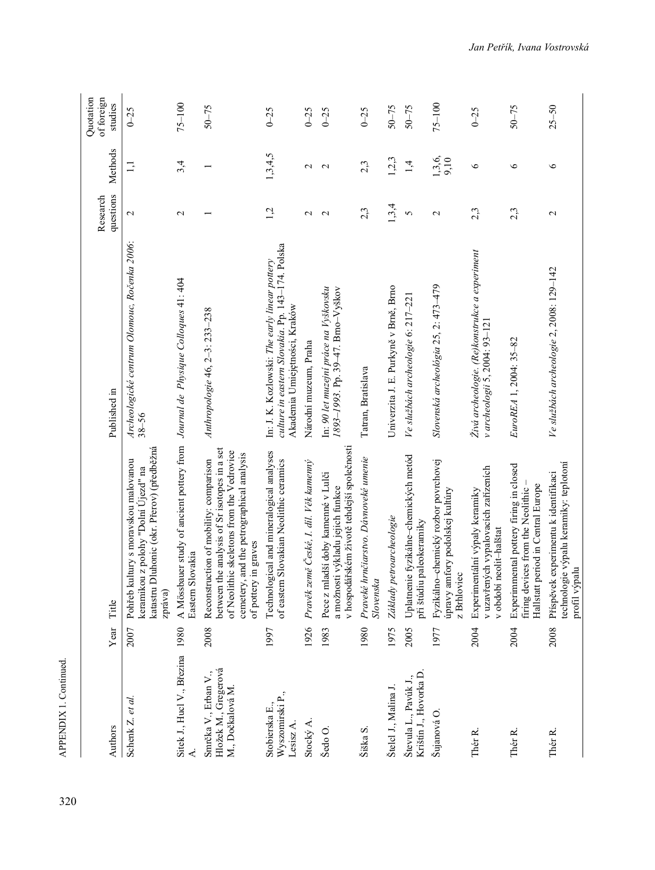| Authors                                                         | Year | Title                                                                                                                                                                                                    | Published in                                                                                                                       | questions<br>Research | Methods           | Quotation<br>of foreign<br>studies |
|-----------------------------------------------------------------|------|----------------------------------------------------------------------------------------------------------------------------------------------------------------------------------------------------------|------------------------------------------------------------------------------------------------------------------------------------|-----------------------|-------------------|------------------------------------|
| Schenk Z. et al.                                                | 2007 | Dluhonic (okr. Přerov) (předběžná<br>Pohřeb kultury s moravskou malovanou<br>keramikou z polohy "Dolní Újezd" na<br>katastru<br>zpráva)                                                                  | Archeologické centrum Olomouc, Ročenka 2006:<br>$38 - 56$                                                                          | $\mathbf{\Omega}$     | 1,1               | $0 - 25$                           |
| Sitek J., Hucl V., Březina                                      | 1980 | A Mössbauer study of ancient pottery from Journal de Physique Colloques 41: 404<br>Eastern Slovakia                                                                                                      |                                                                                                                                    | $\mathbf{\sim}$       | 3,4               | $75 - 100$                         |
| Hložek M., Gregerová<br>Smrčka V., Erban V.,<br>M., Dočkalová M | 2008 | between the analysis of Sr isotopes in a set<br>of Neolithic skeletons from the Vedrovice<br>cemetery, and the petrographical analysis<br>Reconstruction of mobility: comparison<br>of pottery in graves | Anthropologie 46, 2-3: 233-238                                                                                                     |                       |                   | $50 - 75$                          |
| Wyszomirski P.,<br>Stobierska E.,<br>Lesisz A                   | 1997 | Technological and mineralogical analyses<br>of eastern Slovakian Neolithic ceramics                                                                                                                      | culture in eastern Slovakia. Pp. 143-174. Polska<br>In: J. K. Kozlowski: The early linear pottery<br>Akademia Umiejętności, Kraków | 1,2                   | 1,3,4,5           | $0 - 25$                           |
| Stocký A                                                        | 1926 | Pravěk země České, I. díl. Věk kamenný                                                                                                                                                                   | Národní muzeum, Praha                                                                                                              | $\mathcal{L}$         | $\mathcal{L}$     | $0 - 25$                           |
| Šedo O.                                                         | 1983 | v hospodářském životě tehdejší společnosti<br>Pece z mladší doby kamenné v Lulči<br>a možnosti výkladu jejich funkce                                                                                     | In: 90 let muzejní práce na Vyškovsku<br>1893-1993. Pp. 39-47. Brno-Vyškov                                                         | $\mathbf{\Omega}$     | $\mathbf{\Omega}$ | $0 - 25$                           |
| Šiška S.                                                        | 1980 | Praveké hrnčiarstvo. Dávnoveké umenie<br>Slovenska                                                                                                                                                       | Tatran, Bratislava                                                                                                                 | 2,3                   | 2,3               | $0 - 25$                           |
| Štelcl J., Malina J.                                            | 1975 | Základy petroarcheologie                                                                                                                                                                                 | Univerzita J. E. Purkyně v Brně, Brno                                                                                              | 1,3,4                 | 1,2,3             | $50 - 75$                          |
| Krištín J., Hovorka D.<br>Števula L., Pavúk J.,                 | 2005 | Uplatnenie fyzikálne-chemických metód<br>při štúdiu paleokeramiky                                                                                                                                        | Ve službách archeologie 6: 217–221                                                                                                 | $\mathbf{\hat{5}}$    | 1,4               | $50 - 75$                          |
| Šujanová O.                                                     | 1977 | Fyzikálno-chemický rozbor povrchovej<br>úpravy amfory podolskej kultúry<br>z Brhloviec                                                                                                                   | Slovenská archeológia 25, 2: 473-479                                                                                               | $\mathbf{\sim}$       | 1, 3, 6,<br>9,10  | $75 - 100$                         |
| Thér <sub>R</sub>                                               | 2004 | v uzavřených vypalovacích zařízeních<br>Experimentální výpaly keramiky<br>v období neolit-halštat                                                                                                        | Živá archeologie. (Re)konstrukce a experiment<br>v archeologii 5, 2004: 93-121                                                     | 2,3                   | $\circ$           | $0 - 25$                           |
| Thér R.                                                         | 2004 | Experimmental pottery firing in closed<br>Hallstatt period in Central Europe<br>firing devices from the Neolithic                                                                                        | EuroREA 1, 2004: 35-82                                                                                                             | 2,3                   | $\circ$           | $50 - 75$                          |
| Thér R.                                                         | 2008 | technologie výpalu keramiky: teplotoní<br>Příspěvek experimentu k identifikaci<br>profil výpalu                                                                                                          | Ve službách archeologie 2, 2008: 129–142                                                                                           | $\mathbf{\sim}$       | ৩                 | $25 - 50$                          |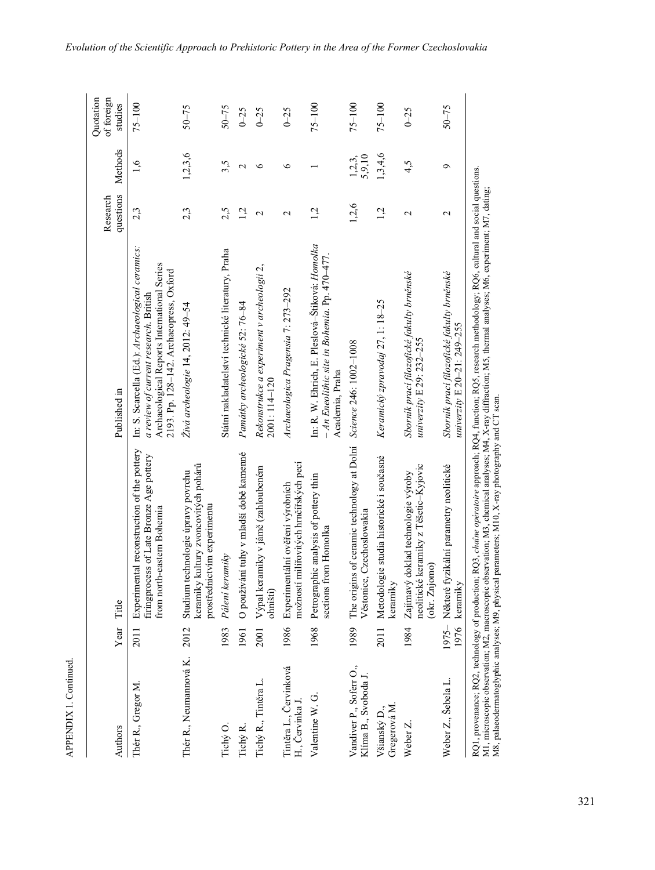| Authors                                         |      | Year Title                                                                                                           | Published in                                                                                                                                                                        | questions<br>Research | Methods            | Ouotation<br>of foreign<br>studies |
|-------------------------------------------------|------|----------------------------------------------------------------------------------------------------------------------|-------------------------------------------------------------------------------------------------------------------------------------------------------------------------------------|-----------------------|--------------------|------------------------------------|
| Thér R., Gregor M.                              | 2011 | Experimental reconstruction of the pottery<br>firingprocess of Late Bronze Age pottery<br>from north-eastern Bohemia | In: S. Scarcella (Ed.): Archaeological ceramics:<br>Archaeological Reports International Series<br>2193. Pp. 128-142. Archaeopress, Oxford<br>a review of current research. British | 2,3                   | 1,6                | $75 - 100$                         |
| Thér R., Neumannová K.                          | 2012 | keramiky kultury zvoncovitých pohárů<br>Studium technologie úpravy povrchu<br>prostřednictvím experimentu            | Živá archeologie 14, 2012: 49-54                                                                                                                                                    | 2,3                   | 1, 2, 3, 6         | $50 - 75$                          |
| Tichý O.                                        | 1983 | Pálení keramiky                                                                                                      | Státní nakladatelství technické literatury, Praha                                                                                                                                   | 2,5                   | 3,5                | $50 - 75$                          |
| Tichý R.                                        | 1961 | O používání tuhy v mladší době kamenné                                                                               | Památky archeologické 52: 76-84                                                                                                                                                     | 1,2                   | $\mathbf 2$        | $0 - 25$                           |
| Tichý R., Tintěra L.                            | 2001 | Výpal keramiky v jámě (zahloubeném<br>ohništi)                                                                       | Rekonstrukce a experiment v archeologii 2,<br>2001:114-120                                                                                                                          | 2                     | ৩                  | $0 - 25$                           |
| Tintěra L., Červinková<br>H., Cervinka J.       |      | možností milířovitých hrnčířských pecí<br>1986 Experimentální ověření výrobních                                      | Archaeologica Pragensia 7: 273-292                                                                                                                                                  | $\mathcal{L}$         | $\circ$            | $0 - 25$                           |
| Valentine W. G.                                 | 1968 | Petrographic analysis of pottery thin<br>sections from Homolka                                                       | In: R. W. Ehrich, E. Pleslová-Štiková: Homolka<br>$- An Encolithic site in Bohemia.$ Pp. 470-477.<br>Academia, Praha                                                                | 1,2                   |                    | $75 - 100$                         |
| Vandiver P., Soferr O.,<br>Klíma B., Svoboda J. |      | 1989 The origins of ceramic technology at Dolní<br>Věstonice, Czechoslowakia                                         | Science 246: 1002-1008                                                                                                                                                              | 1,2,6                 | $1,2,3,$<br>5,9,10 | $75 - 100$                         |
| Gregerová M<br>Všianský D.,                     | 2011 | Metodologie studia historické i současné<br>keramiky                                                                 | Keramický zpravodaj 27, 1: 18–25                                                                                                                                                    | 1,2                   | 1, 3, 4, 6         | $75 - 100$                         |
| Weber Z.                                        | 1984 | neolitické keramiky z Těšetic-Kyjovic<br>Zajímavý doklad technologie výroby<br>(okr. Znjomo)                         | Sborník prací filozofické fakulty brněnské<br>univerzity E 29: 232-255                                                                                                              | $\mathbf{\Omega}$     | 4,5                | $0 - 25$                           |
| Weber Z., Šebela L.                             | 1976 | 1975- Některé fyzikální parametry neolitické<br>keramiky                                                             | Sborník prací filozofické fakulty brněnské<br>univerzity E $20 - 21$ : $249 - 255$                                                                                                  | $\mathcal{L}$         | ٥                  | $50 - 75$                          |
|                                                 |      |                                                                                                                      | RQ1, provenance; RQ2, technology of production; RQ3, chaine operatoire approach; RQ4, function; RQ5, research methodology; RQ6, cultural and social questions.                      |                       |                    |                                    |

APPENDIX 1. Continued.

M1, microscopic observation; M2, macroscopic observation; M3, chemical analyses; M4, X-ray diffraction; M5, thermal analyses; M6, experiment; M7, dating;<br>M8, palaeodermatoglyphic analyses; M9, physical parameters; M10, X-r M4, X-ray diffraction; M5, thermal analyses; M6, experiment; M7, dating; X-ray photography and CT scan.M1, microscopic observation; M2, macroscopic observation; M3, chemical analyses; M8, palaeodermatoglyphic analyses; M9, physical parameters; M10,